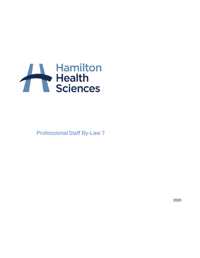

Professional Staff By-Law 7

2020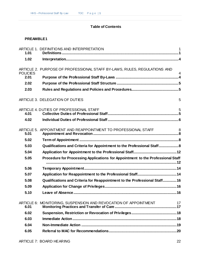# **Table of Contents**

# **[PREAMBLE1](#page-4-0)**

| 1.01            | ARTICLE 1. DEFINITIONS AND INTERPRETATION                                       | $\mathbf 1$    |
|-----------------|---------------------------------------------------------------------------------|----------------|
| 1.02            |                                                                                 |                |
| <b>POLICIES</b> | ARTICLE 2. PURPOSE OF PROFESSIONAL STAFF BY-LAWS, RULES, REGULATIONS AND        | $\overline{4}$ |
| 2.01            |                                                                                 |                |
| 2.02            |                                                                                 |                |
| 2.03            |                                                                                 |                |
|                 | ARTICLE 3. DELEGATION OF DUTIES                                                 | 5              |
| 4.01            | ARTICLE 4. DUTIES OF PROFESSIONAL STAFF                                         | 5              |
| 4.02            |                                                                                 |                |
| 5.01            | ARTICLE 5. APPOINTMENT AND REAPPOINTMENT TO PROFESSIONAL STAFF                  | 8              |
| 5.02            |                                                                                 |                |
| 5.03            | Qualifications and Criteria for Appointment to the Professional Staff 8         |                |
| 5.04            |                                                                                 |                |
| 5.05            | Procedure for Processing Applications for Appointment to the Professional Staff |                |
| 5.06            |                                                                                 |                |
| 5.07            |                                                                                 |                |
| 5.08            | Qualifications and Criteria for Reappointment to the Professional Staff 16      |                |
| 5.09            |                                                                                 |                |
| 5.10            | Leave of Absence                                                                | .16            |
| 6.01            | ARTICLE 6: MONITORING, SUSPENSION AND REVOCATION OF APPOINTMENT                 | 17             |
| 6.02            |                                                                                 |                |
| 6.03            |                                                                                 |                |
| 6.04            |                                                                                 |                |
| 6.05            |                                                                                 |                |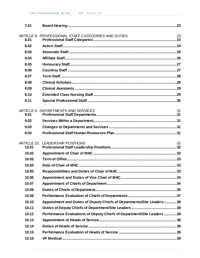| 7.01  |                                                                       |    |
|-------|-----------------------------------------------------------------------|----|
| 8.01  | ARTICLE 8: PROFESSIONAL STAFF CATEGORIES AND DUTIES                   | 23 |
| 8.02  |                                                                       |    |
| 8.03  |                                                                       |    |
| 8.04  |                                                                       |    |
| 8.05  |                                                                       |    |
| 8.06  |                                                                       |    |
| 8.07  |                                                                       |    |
| 8.08  |                                                                       |    |
| 8.09  |                                                                       |    |
| 8.10  |                                                                       |    |
| 8.11  |                                                                       |    |
|       |                                                                       |    |
| 9.01  | ARTICLE 9. DEPARTMENTS AND SERVICES                                   | 31 |
| 9.02  |                                                                       |    |
| 9.03  |                                                                       |    |
| 9.04  |                                                                       |    |
|       |                                                                       |    |
| 10.01 | ARTICLE 10. LEADERSHIP POSITIONS                                      | 32 |
| 10.02 |                                                                       |    |
| 10.03 |                                                                       |    |
| 10.04 |                                                                       |    |
| 10.05 |                                                                       |    |
| 10.06 |                                                                       |    |
| 10.07 |                                                                       |    |
| 10.08 |                                                                       |    |
| 10.09 |                                                                       |    |
| 10.10 | Appointment and Duties of Deputy Chiefs of Departments/Site Leaders38 |    |
| 10.11 |                                                                       |    |
| 10.12 | Performance Evaluations of Deputy Chiefs of Department/Site Leaders38 |    |
| 10.13 |                                                                       |    |
| 10.14 |                                                                       |    |
| 10.15 |                                                                       |    |
| 10.16 |                                                                       |    |
|       |                                                                       |    |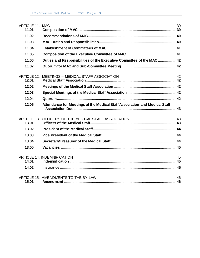| <b>ARTICLE 11. MAC</b><br>11.01 |                                                                            | 39        |
|---------------------------------|----------------------------------------------------------------------------|-----------|
| 11.02                           |                                                                            |           |
| 11.03                           |                                                                            |           |
| 11.04                           |                                                                            |           |
| 11.05                           |                                                                            |           |
| 11.06                           | Duties and Responsibilities of the Executive Committee of the MAC 42       |           |
| 11.07                           |                                                                            |           |
| <b>ARTICLE 12.</b><br>12.01     | MEETINGS - MEDICAL STAFF ASSOCIATION                                       | 42        |
| 12.02                           |                                                                            |           |
| 12.03                           |                                                                            |           |
| 12.04                           |                                                                            |           |
| 12.05                           | Attendance for Meetings of the Medical Staff Association and Medical Staff |           |
| 13.01                           | ARTICLE 13. OFFICERS OF THE MEDICAL STAFF ASSOCIATION                      | 43        |
| 13.02                           |                                                                            |           |
| 13.03                           |                                                                            |           |
| 13.04                           |                                                                            |           |
| 13.05                           |                                                                            |           |
| 14.01                           | <b>ARTICLE 14. INDEMNIFICATION</b>                                         | 45        |
| 14.02                           |                                                                            |           |
| 15.01                           | ARTICLE 15. AMENDMENTS TO THE BY-LAW                                       | 46<br>.46 |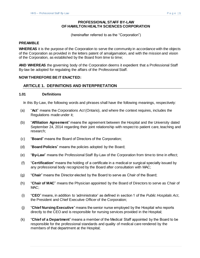# **PROFESSIONAL STAFF BY-LAW OF HAMILTON HEALTH SCIENCES CORPORATION**

(hereinafter referred to as the "Corporation")

#### <span id="page-4-0"></span>**PREAMBLE**

**WHEREAS** it is the purpose of the Corporation to serve the community in accordance with the objects of the Corporation as provided in the letters patent of amalgamation, and with the mission and vision of the Corporation, as established by the Board from time to time;

**AND WHEREAS** the governing body of the Corporation deems it expedient that a Professional Staff By-law be adopted for regulating the affairs of the Professional Staff.

### **NOW THEREFORE BE IT ENACTED:**

### <span id="page-4-1"></span>**ARTICLE 1. DEFINITIONS AND INTERPRETATION**

#### <span id="page-4-2"></span>**1.01 Definitions**

In this By-Law, the following words and phrases shall have the following meanings, respectively:

- (a) "**Act**" means the *Corporations Act* (Ontario), and where the context requires, includes the Regulations made under it;
- (b) "**Affiliation Agreement**" means the agreement between the Hospital and the University dated September 24, 2014 regarding their joint relationship with respect to patient care, teaching and research;
- (c) "**Board**" means the Board of Directors of the Corporation;
- (d) "**Board Policies**" means the policies adopted by the Board;
- (e) "**By-Law**" means the Professional Staff By-Law of the Corporation from time to time in effect;
- (f) "**Certification**" means the holding of a certificate in a medical or surgical specialty issued by any professional body recognized by the Board after consultation with MAC;
- (g) "**Chair**" means the Director elected by the Board to serve as Chair of the Board;
- (h) "**Chair of MAC**" means the Physician appointed by the Board of Directors to serve as Chair of MAC;
- (i) "**CEO**" means, in addition to 'administrator' as defined in section 1 of the *Public Hospitals Act*, the President and Chief Executive Officer of the Corporation;
- (j) "**Chief Nursing Executive**" means the senior nurse employed by the Hospital who reports directly to the CEO and is responsible for nursing services provided in the Hospital;
- (k) "**Chief of a Department**" means a member of the Medical Staff appointed by the Board to be responsible for the professional standards and quality of medical care rendered by the members of that department at the Hospital;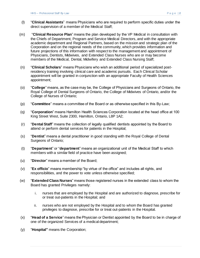- (l) "**Clinical Assistants**" means Physicians who are required to perform specific duties under the direct supervision of a member of the Medical Staff;
- (m) "**Clinical Resource Plan**" means the plan developed by the VP Medical in consultation with the Chiefs of Department, Program and Service Medical Directors, and with the appropriate academic department and Regional Partners, based on the mission and strategic plan of the Corporation and on the regional needs of the community, which provides information and future projections of this information with respect to the management and appointment of Physicians, Dentists, Midwives, and Extended Class Nurses who are or may become members of the Medical, Dental, Midwifery and Extended Class Nursing Staff;
- (n) "**Clinical Scholars**" means Physicians who wish an additional period of specialized postresidency training involving clinical care and academic pursuits. Each Clinical Scholar appointment will be granted in conjunction with an appropriate Faculty of Health Sciences appointment;
- (o) "**College**" means, as the case may be, the College of Physicians and Surgeons of Ontario, the Royal College of Dental Surgeons of Ontario, the College of Midwives of Ontario, and/or the College of Nurses of Ontario;
- (p) "**Committee**" means a committee of the Board or as otherwise specified in this By-Law;
- (q) "**Corporation**" means Hamilton Health Sciences Corporation located at the head office at 100 King Street West, Suite 2300, Hamilton, Ontario, L8P 1A2;
- (r) "**Dental Staff**" means the collection of legally qualified dentists appointed by the Board to attend or perform dental services for patients in the Hospital;
- (s) "**Dentist**" means a dental practitioner in good standing with the Royal College of Dental Surgeons of Ontario;
- (t) "**Department**" or "**department**" means an organizational unit of the Medical Staff to which members with a similar field of practice have been assigned;
- (u) "**Director**" means a member of the Board;
- (v) "**Ex officio**" means membership "by virtue of the office" and includes all rights, and responsibilities, and the power to vote unless otherwise specified;
- (w) "**Extended Class Nurses**" means those registered nurses in the extended class to whom the Board has granted Privileges namely:
	- i. nurses that are employed by the Hospital and are authorized to diagnose, prescribe for or treat out-patients in the Hospital; and
	- ii. nurses who are not employed by the Hospital and to whom the Board has granted privileges to diagnose, prescribe for or treat out-patients in the Hospital.
- (x) "**Head of a Service**" means the Physician or Dentist appointed by the Board to be in charge of one of the organized Services of a medical department;
- (y) "**Hospital"** means the Corporation;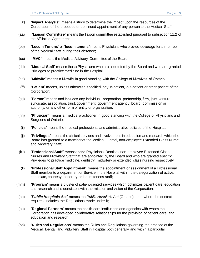- (z) "**Impact Analysis**" means a study to determine the impact upon the resources of the Corporation of the proposed or continued appointment of any person to the Medical Staff;
- (aa) "**Liaison Committee**" means the liaison committee established pursuant to subsection 11.2 of the Affiliation Agreement;
- (bb) "**Locum Tenens**" or "**locum tenens**" means Physicians who provide coverage for a member of the Medical Staff during their absence;
- (cc) **"MAC"** means the Medical Advisory Committee of the Board;
- (dd) "**Medical Staff**" means those Physicians who are appointed by the Board and who are granted Privileges to practice medicine in the Hospital;
- (ee) "**Midwife**" means a Midwife in good standing with the College of Midwives of Ontario;
- (ff) "**Patient**" means, unless otherwise specified, any in-patient, out-patient or other patient of the Corporation;
- (gg) "**Person**" means and includes any individual, corporation, partnership, firm, joint-venture, syndicate, association, trust, government, government agency, board, commission or authority, or any other form of entity or organization;
- (hh) "**Physician**" means a medical practitioner in good standing with the College of Physicians and Surgeons of Ontario;
- (ii) "**Policies**" means the medical professional and administrative policies of the Hospital;
- (jj) "**Privileges**" means the clinical services and involvement in education and research which the Board has granted to a member of the Medical, Dental, non-employee Extended Class Nurse and Midwifery Staff;
- (kk) "**Professional Staff**" means those Physicians, Dentists, non-employee Extended Class Nurses and Midwifery Staff that are appointed by the Board and who are granted specific Privileges to practice medicine, dentistry, midwifery or extended class nursing respectively;
- (ll) "**Professional Staff Appointment**" means the appointment or assignment of a Professional Staff member to a department or Service in the Hospital within the categorization of active, associate, courtesy, honorary or locum tenens staff;
- (mm) "**Program**" means a cluster of patient-cented services which optimizes patient care, education and research and is consistent with the mission and vision of the Corporation;
- (nn) "*Public Hospitals Act*" means the *Public Hospitals Act* (Ontario), and, where the context requires, includes the Regulations made under it;
- (oo) "**Regional Partners**" means the health care institutions and agencies with whom the Corporation has developed collaborative relationships for the provision of patient care, and education and research;
- (pp) "**Rules and Regulations**" means the Rules and Regulations governing the practice of the Medical, Dental, and Midwifery Staff in Hospital both generally and within a particular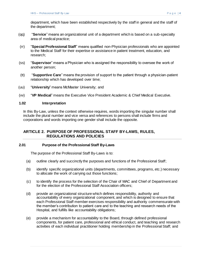department, which have been established respectively by the staff in general and the staff of the department;

- (qq) "**Service**" means an organizational unit of a department which is based on a sub-specialty area of medical practice;
- (rr) "**Special Professional Staff**" means qualified non-Physician professionals who are appointed to the Medical Staff for their expertise or assistance in patient treatment, education, and research;
- (ss) "**Supervisor**" means a Physician who is assigned the responsibility to oversee the work of another person;
- (tt) "**Supportive Care**" means the provision of support to the patient through a physician-patient relationship which has developed over time;
- (uu) "**University**" means McMaster University; and
- (vv) "**VP Medical**" means the Executive Vice President Academic & Chief Medical Executive.

#### <span id="page-7-0"></span>**1.02 Interpretation**

In this By-Law, unless the context otherwise requires, words importing the singular number shall include the plural number and vice versa and references to persons shall include firms and corporations and words importing one gender shall include the opposite.

# <span id="page-7-1"></span>**ARTICLE 2. PURPOSE OF PROFESSIONAL STAFF BY-LAWS, RULES, REGULATIONS AND POLICIES**

### <span id="page-7-2"></span>**2.01 Purpose of the Professional Staff By-Laws**

The purpose of the Professional Staff By-Laws is to:

- (a) outline clearly and succinctly the purposes and functions of the Professional Staff;
- (b) identify specific organizational units (departments, committees, programs, etc.) necessary to allocate the work of carrying out those functions;
- (c) to identify the process for the selection of the Chair of MAC and Chief of Department and for the election of the Professional Staff Association officers;
- (d) provide an organizational structure which defines responsibility, authority and accountability of every organizational component, and which is designed to ensure that each Professional Staff member exercises responsibility and authority commensurate with the member's contribution to patient care and to the teaching and research needs of the Hospital, and fulfills like accountability obligations;
- (e) provide a mechanism for accountability to the Board, through defined professional components, for patient care, professional and ethical conduct, and teaching and research activities of each individual practitioner holding membership in the Professional Staff; and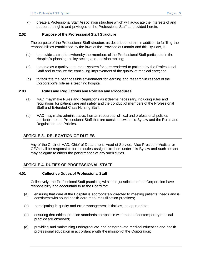(f) create a Professional Staff Association structure which will advocate the interests of and support the rights and privileges of the Professional Staff as provided herein.

### <span id="page-8-0"></span>**2.02 Purpose of the Professional Staff Structure**

The purpose of the Professional Staff structure as described herein, in addition to fulfilling the responsibilities established by the laws of the Province of Ontario and this By-Law, is:

- (a) to provide a structure whereby the members of the Professional Staff participate in the Hospital's planning, policy setting and decision making;
- (b) to serve as a quality assurance system for care rendered to patients by the Professional Staff and to ensure the continuing improvement of the quality of medical care; and
- (c) to facilitate the best possible environment for learning and research in respect of the Corporation's role as a teaching hospital.

#### <span id="page-8-1"></span>**2.03 Rules and Regulations and Policies and Procedures**

- (a) MAC may make Rules and Regulations as it deems necessary, including rules and regulations for patient care and safety and the conduct of members of the Professional Staff and Extended Class Nursing Staff.
- (b) MAC may make administrative, human resources, clinical and professional policies applicable to the Professional Staff that are consistent with this By-law and the Rules and Regulations and Policies.

# <span id="page-8-2"></span>**ARTICLE 3. DELEGATION OF DUTIES**

Any of the Chair of MAC, Chief of Department, Head of Service, Vice President Medical or CEO shall be responsible for the duties assigned to them under this By-law and such person may delegate to others the performance of any such duties.

## <span id="page-8-3"></span>**ARTICLE 4. DUTIES OF PROFESSIONAL STAFF**

#### <span id="page-8-4"></span>**4.01 Collective Duties of Professional Staff**

Collectively, the Professional Staff practicing within the jurisdiction of the Corporation have responsibility and accountability to the Board for:

- (a) ensuring that care at the Hospital is appropriately directed to meeting patients' needs and is consistent with sound health care resource utilization practices;
- (b) participating in quality and error management initiatives, as appropriate;
- (c) ensuring that ethical practice standards compatible with those of contemporary medical practice are observed;
- (d) providing and maintaining undergraduate and postgraduate medical education and health professional education in accordance with the mission of the Corporation;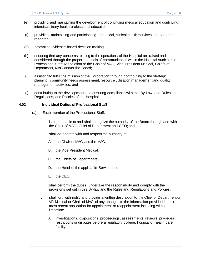- (e) providing and maintaining the development of continuing medical education and continuing interdisciplinary health professional education;
- (f) providing, maintaining and participating in medical, clinical health services and outcomes research;
- (g) promoting evidence-based decision making;
- (h) ensuring that any concerns relating to the operations of the Hospital are raised and considered through the proper channels of communication within the Hospital such as the Professional Staff Association or the Chair of MAC, Vice President Medical, Chiefs of Department, MAC and/or the Board;
- (i) assisting to fulfill the mission of the Corporation through contributing to the strategic planning, community needs assessment, resource utilization management and quality management activities; and
- (j) contributing to the development and ensuring compliance with this By-Law, and Rules and Regulations, and Policies of the Hospital.

### <span id="page-9-0"></span>**4.02 Individual Duties of Professional Staff**

- (a) Each member of the Professional Staff:
	- i. is accountable to and shall recognize the authority of the Board through and with the Chair of MAC, Chief of Department and CEO; and
	- ii. shall co-operate with and respect the authority of:
		- A. the Chair of MAC and the MAC;
		- B. the Vice President Medical;
		- C. the Chiefs of Departments;
		- D. the Head of the applicable Service; and
		- E. the CEO;
	- iii. shall perform the duties, undertake the responsibility and comply with the provisions set out in this By-law and the Rules and Regulations and Policies;
	- iv. shall forthwith notify and provide a written description to the Chief of Department or VP Medical or Chair of MAC of any changes to the information provided in their most recent application for appointment or reappointment including without limitation:
		- A. investigations, dispositions, proceedings, assessments, reviews, privileges restrictions or disputes before a regulatory college, hospital or health care facility;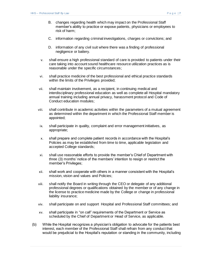- B. changes regarding health which may impact on the Professional Staff member's ability to practice or expose patients, physicians or employees to risk of harm;
- C. information regarding criminal investigations, charges or convictions; and
- D. information of any civil suit where there was a finding of professional negligence or battery.
- v. shall ensure a high professional standard of care is provided to patients under their care taking into account sound healthcare resource utilization practices as is reasonable under the specific circumstances;
- vi. shall practice medicine of the best professional and ethical practice standards within the limits of the Privileges provided;
- vii. shall maintain involvement, as a recipient, in continuing medical and interdisciplinary professional education as well as complete all Hospital mandatory annual training including annual privacy, harassment protocol and Code of Conduct education modules;
- viii. shall contribute in academic activities within the parameters of a mutual agreement as determined within the department in which the Professional Staff member is appointed;
- ix. shall participate in quality, complaint and error management initiatives, as appropriate;
- x. shall prepare and complete patient records in accordance with the Hospital's Policies as may be established from time to time, applicable legislation and accepted College standards;
- xi. shall use reasonable efforts to provide the member's Chief of Department with three (3) months' notice of the members' intention to resign or restrict the member's Privileges;
- xii. shall work and cooperate with others in a manner consistent with the Hospital's mission, vision and values and Policies;
- xiii. shall notify the Board in writing through the CEO or delegate of any additional professional degrees or qualifications obtained by the member or of any change in the license to practice medicine made by the College or change in professional liability insurance;
- xiv. shall participate on and support Hospital and Professional Staff committees; and
- xv. shall participate in "on call" requirements of the Department or Service as scheduled by the Chief of Department or Head of Service, as applicable.
- (b) While the Hospital recognizes a physician's obligation to advocate for the patients best interest, each member of the Professional Staff shall refrain from any conduct that would be prejudicial to the Hospital's reputation or standing in the community, including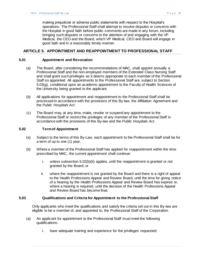making prejudicial or adverse public statements with respect to the Hospital's operations. The Professional Staff shall attempt to resolve disputes or concerns with the Hospital in good faith before public comments are made in any forum, including bringing such disputes or concerns to the attention of and engaging with the VP Medical, the CEO and the Board, which VP Medical, CEO and Board will engage in good faith and in a reasonably timely manner.

# <span id="page-11-0"></span>**ARTICLE 5. APPOINTMENT AND REAPPOINTMENT TO PROFESSIONAL STAFF**

### <span id="page-11-1"></span>**5.01 Appointment and Revocation**

- (a) The Board, after considering the recommendations of MAC, shall appoint annually a Professional Staff and the non-employed members of the Extended Class Nursing Staff and shall grant such privileges as it deems appropriate to each member of the Professional Staff so appointed. All appointments to the Professional Staff are, subject to [Section](#page-14-0)  [5.03\(g\),](#page-14-0) conditional upon an academic appointment to the Faculty of Health Sciences of the University being granted to the applicant.
- (b) All applications for appointment and reappointment to the Professional Staff shall be processed in accordance with the provisions of this By-law, the Affiliation Agreement and the *Public Hospitals Act*.
- (c) The Board may, at any time, make, revoke or suspend any appointment to the Professional Staff or restrict the privileges of any member of the Professional Staff in accordance with the provisions of this By-law and the *Public Hospitals Act*.

### <span id="page-11-2"></span>**5.02 Term of Appointment**

- (a) Subject to the terms of this By-Law, each appointment to the Professional Staff shall be for a term of up to one (1) year.
- (b) Where a member of the Professional Staff has applied for reappointment within the time prescribed by MAC, the current appointment shall continue:
	- i. unless [subsection 5.02\(b\)\(ii\)](#page-11-2) applies, until the reappointment is granted or not granted by the Board; or
	- ii. where the reappointment is not granted by the Board and there is a right of appeal to the Health Professions Appeal and Review Board, until the time for giving notice of a hearing by the Health Professions Appeal and Review Board has expired or, where a hearing is required, until the decision of the Health Professions Appeal and Review Board has become final.

## <span id="page-11-3"></span>**5.03 Qualifications and Criteria for Appointment to the Professional Staff**

Only applicants who meet the qualifications and satisfy the criteria set out in this By-law are eligible to be a member of, and appointed to, the Professional Staff of the Corporation.

- <span id="page-11-4"></span>(a) An applicant for appointment to the Professional Staff must meet the following qualifications:
	- i. have adequate training and experience for the privileges requested;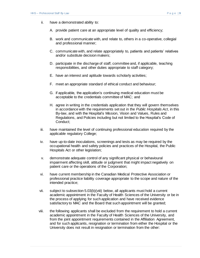- ii. have a demonstrated ability to:
	- A. provide patient care at an appropriate level of quality and efficiency;
	- B. work and communicate with, and relate to, others in a co-operative, collegial and professional manner;
	- C. communicate with, and relate appropriately to, patients and patients' relatives and/or substitute decision makers;
	- D. participate in the discharge of staff, committee and, if applicable, teaching responsibilities, and other duties appropriate to staff category;
	- E. have an interest and aptitude towards scholarly activities;
	- F. meet an appropriate standard of ethical conduct and behaviour;
	- G. if applicable, the application's continuing medical education must be acceptable to the credentials committee of MAC; and
	- H. agree in writing in the credentials application that they will govern themselves in accordance with the requirements set out in the *Public Hospitals Act*, in this By-law, and with the Hospital's Mission, Vision and Values, Rules and Regulations, and Policies including but not limited to the Hospital's Code of Conduct;
- iii. have maintained the level of continuing professional education required by the applicable regulatory College;
- iv. have up-to-date inoculations, screenings and tests as may be required by the occupational health and safety policies and practices of the Hospital, the Public Hospitals Act or other legislation;
- v. demonstrate adequate control of any significant physical or behavioural impairment affecting skill, attitude or judgment that might impact negatively on patient care or the operations of the Corporation;
- vi. have current membership in the Canadian Medical Protective Association or professional practice liability coverage appropriate to the scope and nature of the intended practice;
- vii. subject to [subsection 5.03\(b\)\(viii\)](#page-12-0) below, all applicants must hold a current academic appointment in the Faculty of Health Sciences of the University or be in the process of applying for such application and have received evidence satisfactory to MAC and the Board that such appointment will be granted;
- <span id="page-12-0"></span>viii. the following applicants shall be excluded from the requirement to hold a current academic appointment in the Faculty of Health Sciences of the University, and from the joint appointment requirements contained in the Affiliation Agreement, and for such applicants, resignation or termination from either the Hospital or the University does not result in resignation or termination from the other: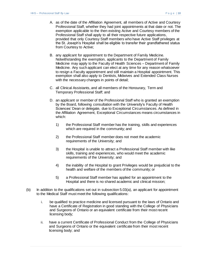- A. as of the date of the Affiliation Agreement, all members of Active and Courtesy Professional Staff, whether they had joint appointments at that date or not. The exemption applicable to the then existing Active and Courtesy members of the Professional Staff shall apply to all their respective future applications, provided that only Courtesy Staff members who have Active Staff privileges at the St. Joseph's Hospital shall be eligible to transfer their grandfathered status from Courtesy to Active;
- B. any applicant for appointment to the Department of Family Medicine. Notwithstanding the exemption, applicants to the Department of Family Medicine may apply to the Faculty of Health Sciences – Department of Family Medicine. Any such applicant can elect at any time for any reason whatsoever to resign a Faculty appointment and still maintain a Hospital appointment. This exemption shall also apply to Dentists, Midwives and Extended Class Nurses with the necessary changes in points of detail;
- C. all Clinical Assistants, and all members of the Honourary, Term and Temporary Professional Staff; and
- D. an applicant or member of the Professional Staff who is granted an exemption by the Board, following consultation with the University's Faculty of Health Sciences' Dean or delegate, due to Exceptional Circumstances. As defined in the Affiliation Agreement, Exceptional Circumstances means circumstances in which:
	- 1) the Professional Staff member has the training, skills and experiences which are required in the community; and
	- 2) the Professional Staff member does not meet the academic requirements of the University; and
	- 3) the Hospital is unable to attract a Professional Staff member with like skills, training and experiences, who would meet the academic requirements of the University; and
	- 4) the inability of the Hospital to grant Privileges would be prejudicial to the health and welfare of the members of the community; or
	- 5) a Professional Staff member has applied for an appointment to the Hospital and there is no shared academic and clinical mission;
- <span id="page-13-0"></span>(b) In addition to the qualifications set out in [subsection 5.03\(a\),](#page-11-4) an applicant for appointment to the Medical Staff must meet the following qualifications:
	- i. be qualified to practice medicine and licensed pursuant to the laws of Ontario and have a Certificate of Registration in good standing with the College of Physicians and Surgeons of Ontario or an equivalent certificate from their most recent licensing body;
	- ii. have a current Certificate of Professional Conduct from the College of Physicians and Surgeons of Ontario or the equivalent certificate from their most recent licensing body; and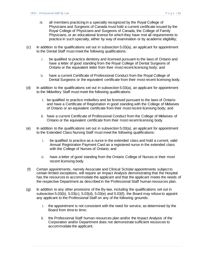- iii. all members practicing in a specialty recognized by the Royal College of Physicians and Surgeons of Canada must hold a current certificate issued by the Royal College of Physicians and Surgeons of Canada, the College of Family Physicians, or an educational license for which they have met all requirements to practice in such specialty, either by way of examination or by academic eligibility;
- <span id="page-14-1"></span>(c) In addition to the qualifications set out in [subsection 5.03\(a\),](#page-11-4) an applicant for appointment to the Dental Staff must meet the following qualifications:
	- i. be qualified to practice dentistry and licensed pursuant to the laws of Ontario and have a letter of good standing from the Royal College of Dental Surgeons of Ontario or the equivalent letter from their most recent licensing body; and
	- ii. have a current Certificate of Professional Conduct from the Royal College of Dental Surgeons or the equivalent certificate from their most recent licensing body.
- <span id="page-14-2"></span>(d) In addition to the qualifications set out in [subsection 5.03\(a\),](#page-11-4) an applicant for appointment to the Midwifery Staff must meet the following qualifications:
	- i. be qualified to practice midwifery and be licensed pursuant to the laws of Ontario and have a Certificate of Registration in good standing with the College of Midwives of Ontario or an equivalent certificate from their most recent licensing body; and
	- ii. have a current Certificate of Professional Conduct from the College of Midwives of Ontario or the equivalent certificate from their most recent licensing body.
- <span id="page-14-3"></span>(e) In addition to the qualifications set out in [subsection 5.03\(a\),](#page-11-4) an applicant for appointment to the Extended Class Nursing Staff must meet the following qualifications:
	- i. be qualified to practice as a nurse in the extended class and hold a current, valid Annual Registration Payment Card as a registered nurse in the extended class with the College of Nurses of Ontario; and
	- ii. have a letter of good standing from the Ontario College of Nurses or their most recent licensing body.
- (f) Certain appointments, namely Associate and Clinical Scholar appointments subject to certain limited exceptions, will require an Impact Analysis demonstrating that the Hospital has the resources to accommodate the applicant and that the applicant meets the needs of the respective Department as described in the Professional Staff human resources plan.
- <span id="page-14-0"></span>(g) In addition to any other provisions of the By-law, including the qualifications set out in subsectio[n 5.03\(b\),](#page-11-4) [5.03\(c\),](#page-13-0) [5.03\(d\),](#page-14-1) [5.03\(e\)](#page-14-2) and [5.03\(f\),](#page-14-3) the Board may refuse to appoint any applicant to the Professional Staff on any of the following grounds:
	- i. the appointment is not consistent with the need for service, as determined by the Board from time to time;
	- ii. the Professional Staff human resources plan and/or the Impact Analysis of the Corporation and/or Department does not demonstrate sufficient resources to accommodate the applicant;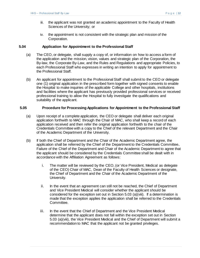- iii. the applicant was not granted an academic appointment to the Faculty of Health Sciences of the University; or
- iv. the appointment is not consistent with the strategic plan and mission of the Corporation.

### <span id="page-15-0"></span>**5.04 Application for Appointment to the Professional Staff**

- (a) The CEO, or delegate, shall supply a copy of, or information on how to access a form of the application and the mission, vision, values and strategic plan of the Corporation, the By-law, the Corporate By-Law, and the Rules and Regulations and appropriate Policies, to each Professional Staff who expresses in writing an intention to apply for appointment to the Professional Staff.
- (b) An applicant for appointment to the Professional Staff shall submit to the CEO or delegate one (1) original application in the prescribed form together with signed consents to enable the Hospital to make inquiries of the applicable College and other hospitals, institutions and facilities where the applicant has previously provided professional services or received professional training to allow the Hospital to fully investigate the qualifications and suitability of the applicant.

### <span id="page-15-1"></span>**5.05 Procedure for Processing Applications for Appointment to the Professional Staff**

- (a) Upon receipt of a complete application, the CEO or delegate shall deliver each original application forthwith to MAC through the Chair of MAC, who shall keep a record of each application received and then refer the original application forthwith to the chair of the Credentials Committee with a copy to the Chief of the relevant Department and the Chair of the Academic Department of the University.
- (b) If both the Chief of Department and the Chair of the Academic Department agree, the application shall be referred by the Chief of the Department to the Credentials Committee**.** Failure of the Chief of the Department and Chair of the Academic Department to agree that the applicant should be considered by the Credentials Committee shall be dealt with in accordance with the Affiliation Agreement as follows:
	- i. The matter will be reviewed by the CEO, (or Vice President, Medical as delegate of the CEO) Chair of MAC, Dean of the Faculty of Health Sciences or designate, the Chief of Department and the Chair of the Academic Department of the University.
	- ii. In the event that an agreement can still not be reached, the Chief of Department and Vice President Medical will consider whether the applicant should be considered for the exception set out in Section [5.03 \(a\)\(viii\).](#page-12-0) If a determination is made that the exception applies the application shall be referred to the Credentials Committee.
	- iii. In the event that the Chief of Department and the Vice President Medical determine that the applicant does not fall within the exception set out in Section [5.03 \(a\)\(viii\),](#page-12-0) the Vice President Medical and the Chief of Department will submit a recommendation to MAC that the applicant not be granted privileges.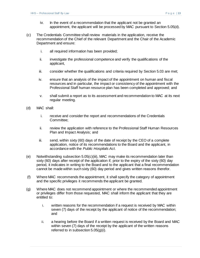- iv. In the event of a recommendation that the applicant not be granted an appointment, the applicant will be processed by MAC pursuant to [Section 5.05\(d\).](#page-16-0)
- <span id="page-16-1"></span>(c) The Credentials Committee shall review materials in the application, receive the recommendation of the Chief of the relevant Department and the Chair of the Academic Department and ensure:
	- i. all required information has been provided;
	- ii. investigate the professional competence and verify the qualifications of the applicant,
	- iii. consider whether the qualifications and criteria required by [Section 5.03](#page-11-3) are met;
	- iv. ensure that an analysis of the impact of the appointment on human and fiscal resources and in particular, the impact or consistency of the appointment with the Professional Staff human resource plan has been completed and approved; and
	- v. shall submit a report as to its assessment and recommendation to MAC at its next regular meeting.
- <span id="page-16-0"></span>(d) MAC shall:
	- i. receive and consider the report and recommendations of the Credentials Committee;
	- ii. review the application with reference to the Professional Staff Human Resources Plan and Impact Analysis; and
	- iii. send, within sixty (60) days of the date of receipt by the CEO of a complete application, notice of its recommendations to the Board and the applicant, in accordance with the *Public Hospitals Act*.
- (e) Notwithstanding [subsection 5.05\(c\)\(iii\),](#page-16-1) MAC may make its recommendation later than sixty (60) days after receipt of the application if, prior to the expiry of the sixty (60) day period, it indicates in writing to the Board and to the applicant that a final recommendation cannot be made within such sixty (60) day period and gives written reasons therefor.
- (f) Where MAC recommends the appointment, it shall specify the category of appointment and the specific privileges it recommends the applicant be granted.
- (g) Where MAC does not recommend appointment or where the recommended appointment or privileges differ from those requested, MAC shall inform the applicant that they are entitled to:
	- i. written reasons for the recommendation if a request is received by MAC within seven (7) days of the receipt by the applicant of notice of the recommendation; and
	- ii. a hearing before the Board if a written request is received by the Board and MAC within seven (7) days of the receipt by the applicant of the written reasons referred to in subsection 5.05(g)(i).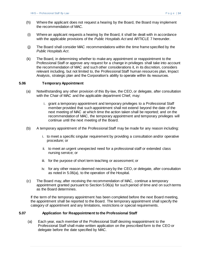- (h) Where the applicant does not request a hearing by the Board, the Board may implement the recommendation of MAC.
- (i) Where an applicant requests a hearing by the Board, it shall be dealt with in accordance with the applicable provisions of the *Public Hospitals Act* and ARTICLE 7 hereunder.
- (j) The Board shall consider MAC recommendations within the time frame specified by the *Public Hospitals Act*.
- (k) The Board, in determining whether to make any appointment or reappointment to the Professional Staff or approve any request for a change in privileges shall take into account the recommendation of MAC and such other considerations it, in its discretion, considers relevant including, but not limited to, the Professional Staff human resources plan, Impact Analysis, strategic plan and the Corporation's ability to operate within its resources.

### <span id="page-17-2"></span><span id="page-17-0"></span>**5.06 Temporary Appointment**

- (a) Notwithstanding any other provision of this By-law, the CEO, or delegate, after consultation with the Chair of MAC and the applicable department Chief, may:
	- i. grant a temporary appointment and temporary privileges to a Professional Staff member provided that such appointment shall not extend beyond the date of the next meeting of MAC at which time the action taken shall be reported; and on the recommendation of MAC, the temporary appointment and temporary privileges will continue until the next meeting of the Board.
- (b) A temporary appointment of the Professional Staff may be made for any reason including:
	- i. to meet a specific singular requirement by providing a consultation and/or operative procedure; or
	- ii. to meet an urgent unexpected need for a professional staff or extended class nursing service; or
	- iii. for the purpose of short term teaching or assessment; or
	- iv. for any other reason deemed necessary by the CEO, or delegate, after consultation as noted in 5.06(a), to the operation of the Hospital.
- (c) The Board may, after receiving the recommendation of MAC, continue a temporary appointment granted pursuant t[o Section 5.06\(a\)](#page-17-2) for such period of time and on such terms as the Board determines.

If the term of the temporary appointment has been completed before the next Board meeting, the appointment shall be reported to the Board. The temporary appointment shall specify the category of appointment and any limitations, restrictions or special requirements.

### <span id="page-17-1"></span>**5.07 Application for Reappointment to the Professional Staff**

(a) Each year, each member of the Professional Staff desiring reappointment to the Professional Staff shall make written application on the prescribed form to the CEO or delegate before the date specified by MAC.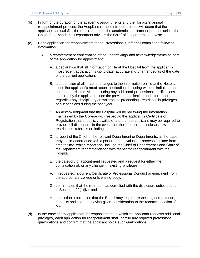- (b) In light of the duration of the academic appointments and the Hospital's annual re-appointment process, the Hospital's re-appointment process will deem that the applicant has satisfied the requirements of the academic appointment process unless the Chair of the Academic Department advises the Chief of Department otherwise.
- (c) Each application for reappointment to the Professional Staff shall contain the following information:
	- i. a restatement or confirmation of the undertakings and acknowledgements as part of the application for appointment:
		- A. a declaration that all information on file at the Hospital from the applicant's most recent application is up-to-date, accurate and unamended as of the date of the current application;
		- B. a description of all material changes to the information on file at the Hospital since the applicant's most recent application, including without limitation: an updated curriculum vitae including any additional professional qualifications acquired by the applicant since the previous application and information regarding any disciplinary or malpractice proceedings restriction in privileges or suspensions during the past year;
		- C. An acknowledgment that the Hospital will be reviewing the information maintained by the College with respect to the applicant's Certificate of Registration that is publicly available and that the applicant may be required to provide full disclosure, in the event that the information discloses new restrictions, referrals or findings;
		- D. a report of the Chief of the relevant Department or Departments, as the case may be, in accordance with a performance evaluation process in place from time to time, which report shall include the Chief of Department's and Chair of the Department recommendation with respect to reappointment with the Hospital;
		- E. the category of appointment requested and a request for either the continuation of, or any change in, existing privileges;
		- F. if requested, a current Certificate of Professional Conduct or equivalent from the appropriate college or licensing body;
		- G. confirmation that the member has complied with the disclosure duties set out in Section 4.02(a)(iv); and
		- H. such other information that the Board may require, respecting competence, capacity and conduct, having given consideration to the recommendation of MAC.
- (d) In the case of any application for reappointment in which the applicant requests additional privileges, each application for reappointment shall identify any required professional qualifications and confirm that the applicant holds such qualifications.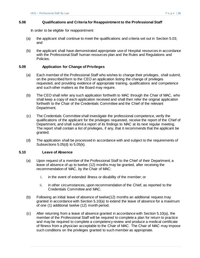#### <span id="page-19-0"></span>**5.08 Qualifications and Criteria for Reappointment to the Professional Staff**

In order to be eligible for reappointment:

- (a) the applicant shall continue to meet the qualifications and criteria set out in Section 5.03; and
- (b) the applicant shall have demonstrated appropriate use of Hospital resources in accordance with the Professional Staff human resources plan and the Rules and Regulations and Policies.

#### <span id="page-19-1"></span>**5.09 Application for Change of Privileges**

- (a) Each member of the Professional Staff who wishes to change their privileges, shall submit, on the prescribed form to the CEO an application listing the change of privileges requested, and providing evidence of appropriate training, qualifications and competence and such other matters as the Board may require.
- (b) The CEO shall refer any such application forthwith to MAC through the Chair of MAC, who shall keep a copy of each application received and shall then refer the original application forthwith to the Chair of the Credentials Committee and the Chief of the relevant Department.
- (c) The Credentials Committee shall investigate the professional competence, verify the qualifications of the applicant for the privileges requested, receive the report of the Chief of Department, and shall submit a report of its findings to MAC at its next regular meeting. The report shall contain a list of privileges, if any, that it recommends that the applicant be granted.
- (d) The application shall be processed in accordance with and subject to the requirements of [Subsections 5.05\(d\) to 5.05\(k\).](#page-16-0)

#### <span id="page-19-2"></span>**5.10 Leave of Absence**

- (a) Upon request of a member of the Professional Staff to the Chief of their Department, a leave of absence of up to twelve (12) months may be granted, after receiving the recommendation of MAC, by the Chair of MAC:
	- i. in the event of extended illness or disability of the member; or
	- ii. in other circumstances, upon recommendation of the Chief, as reported to the Credentials Committee and MAC.
- (b) Following an initial leave of absence of twelve(12) months an additional request may granted in accordance with [Section 5.10\(a\)](#page-19-2) to extend the leave of absence for a maximum of one (1) additional twelve (12) month period.
- (c) After returning from a leave of absence granted in accordance with [Section 5.10\(a\),](#page-19-2) the member of the Professional Staff will be required to complete a plan for return to practice and may be required to complete a competency review and produce a medical certificate of fitness from a physician acceptable to the Chair of MAC. The Chair of MAC may impose such conditions on the privileges granted to such member as appropriate.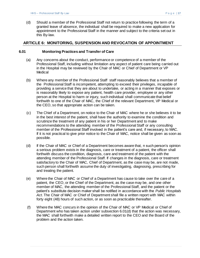(d) Should a member of the Professional Staff not return to practice following the term of a granted leave of absence, the individual shall be required to make a new application for appointment to the Professional Staff in the manner and subject to the criteria set out in this By-law.

# <span id="page-20-0"></span>**ARTICLE 6: MONITORING, SUSPENSION AND REVOCATION OF APPOINTMENT**

#### <span id="page-20-1"></span>**6.01 Monitoring Practices and Transfer of Care**

- (a) Any concerns about the conduct, performance or competence of a member of the Professional Staff, including without limitation any aspect of patient care being carried out in the Hospital may be reviewed by the Chair of MAC or Chief of Department or VP **Medical**
- (b) Where any member of the Professional Staff staff reasonably believes that a member of the Professional Staff is incompetent, attempting to exceed their privileges, incapable of providing a service that they are about to undertake, or acting in a manner that exposes or is reasonably likely to expose any patient, health care provider, employee or any other person at the Hospital to harm or injury, such individual shall communicate that belief forthwith to one of the Chair of MAC, the Chief of the relevant Department, VP Medical or the CEO, so that appropriate action can be taken.
- (c) The Chief of a Department, on notice to the Chair of MAC where he or she believes it to be in the best interest of the patient, shall have the authority to examine the condition and scrutinize the treatment of any patient in his or her Department and to make recommendations to the attending member of the Professional Staff or any consulting member of the Professional Staff involved in the patient's care and, if necessary, to MAC. If it is not practical to give prior notice to the Chair of MAC, notice shall be given as soon as possible.
- <span id="page-20-2"></span>(d) If the Chair of MAC or Chief of a Department becomes aware that, n such person's opinion a serious problem exists in the diagnosis, care or treatment of a patient, the officer shall forthwith discuss the condition, diagnosis, care and treatment of the patient with the attending member of the Professional Staff. If changes in the diagnosis, care or treatment satisfactory to the Chair of MAC, Chief of Department, as the case may be, are not made, such person shall forthwith assume the duty of investigating, diagnosing, prescribing for and treating the patient.
- (e) Where the Chair of MAC or Chief of a Department has cause to take over the care of a patient, the CEO, or the Chief of the Department, as the case may be, and one other member of MAC, the attending member of the Professional Staff, and the patient or the patient's substitute decision maker shall be notified in accordance with the *Public Hospitals Act*. The Chair of MAC or Chief of Department shall file a written report with MAC within forty eight (48) hours of such action, or as soon as practicable thereafter.
- (f) Where the MAC concurs in the opinion of the Chair of MAC or VP Medical or Chief of Department who has taken action under [subsection 6.01\(d\)](#page-20-2) that the action was necessary, the MAC shall forthwith make a detailed written report to the CEO and the Board of the problem and the action taken.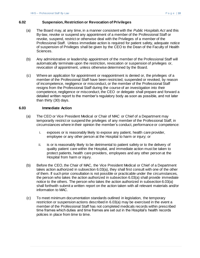### <span id="page-21-0"></span>**6.02 Suspension, Restriction or Revocation of Privileges**

- (a) The Board may, at any time, in a manner consistent with the *Public Hospitals Act* and this By-law, revoke or suspend any appointment of a member of the Professional Staff or revoke, suspend, restrict or otherwise deal with the Privileges of a member of the Professional Staff. Unless immediate action is required for patient safety, adequate notice of suspension of Privileges shall be given by the CEO to the Dean of the Faculty of Health Sciences.
- (b) Any administrative or leadership appointment of the member of the Professional Staff will automatically terminate upon the restriction, revocation or suspension of privileges or, revocation of appointment, unless otherwise determined by the Board.
- (c) Where an application for appointment or reappointment is denied or, the privileges of a member of the Professional Staff have been restricted, suspended or revoked, by reason of incompetence, negligence or misconduct, or the member of the Professional Staff resigns from the Professional Staff during the course of an investigation into their competence, negligence or misconduct, the CEO or delegate shall prepare and forward a detailed written report to the member's regulatory body as soon as possible, and not later than thirty (30) days.

### <span id="page-21-1"></span>**6.03 Immediate Action**

- (a) The CEO or Vice President Medical or Chair of MAC or Chief of a Department may temporarily restrict or suspend the privileges of any member of the Professional Staff, in circumstances where in their opinion the member's conduct, performance or competence:
	- i. exposes or is reasonably likely to expose any patient, health care provider, employee or any other person at the Hospital to harm or injury; or
	- ii. is or is reasonably likely to be detrimental to patient safety or to the delivery of quality patient care within the Hospital, and immediate action must be taken to protect patients, health care providers, employees and any other person at the Hospital from harm or injury.
- (b) Before the CEO, the Chair of MAC, the Vice President Medical or Chief of a Department takes action authorized in [subsection 6.03\(a\),](#page-21-1) they shall first consult with one of the other of them. If such prior consultation is not possible or practicable under the circumstances, the person who takes the action authorized in [subsection 6.03\(a\)](#page-21-1) shall provide immediate notice to the others. The person who takes the action authorized in [subsection 6.03\(a\)](#page-21-1) shall forthwith submit a written report on the action taken with all relevant materials and/or information to MAC.
- (c) To meet minimum documentation standards outlined in legislation, the temporary restriction or suspension actions described in 6.03(a) may be exercised in the event a member of the Professional Staff has not completed medicals records within prescribed time frames which duties and time frames are set out in the Hospital's health records policies in place from time to time.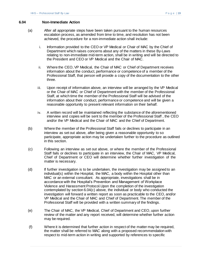### <span id="page-22-0"></span>**6.04 Non-Immediate Action**

- (a) After all appropriate steps have been taken pursuant to the human resources escalation process, as amended from time to time, and resolution has not been achieved, the procedure for a non-immediate action shall include:
	- i. Information provided to the CEO or VP Medical or Chair of MAC by the Chief of Department which raises concerns about any of the matters in these By-Laws relating to non-immediate mid-term action, shall be in writing and will be directed to the President and CEO or VP Medical and the Chair of MAC.
	- ii. Where the CEO, VP Medical, the Chair of MAC or Chief of Department receives information about the conduct, performance or competence of a member of the Professional Staff, that person will provide a copy of the documentation to the other three.
	- iii. Upon receipt of information above, an interview will be arranged by the VP Medical or the Chair of MAC or Chief of Department with the member of the Professional Staff, at which time the member of the Professional Staff will be advised of the information about their conduct, performance or competence and will be given a reasonable opportunity to present relevant information on their behalf.
	- iv. A written record will be maintained reflecting the substance of the aforementioned interview and copies will be sent to the member of the Professional Staff , the CEO and/or the VP Medical and the Chair of MAC and the Chief of Department.
- (b) Where the member of the Professional Staff fails or declines to participate in an interview as set out above, after being given a reasonable opportunity to so participate, appropriate action may be undertaken further to the procedure as outlined in this section.
- (c) Following an interview as set out above, or where the member of the Professional Staff fails or declines to participate in an interview, the Chair of MAC, VP Medical, Chief of Department or CEO will determine whether further investigation of the matter is necessary.
- (d) If further investigation is to be undertaken, the investigation may be assigned to an individual(s) within the Hospital, the MAC, a body within the Hospital other than MAC or an external consultant. As appropriate, investigations shall be in accordance with the Hospital's Prevention and Management of Workplace Violence and Harassment Protocol.Upon the completion of the investigation contemplated by section 6.04(c) above, the individual or body who conducted the investigation will forward a written report as soon as practicable to the CEO, and/or VP Medical and the Chair of MAC and Chief of Department. The member of the Professional Staff will be provided with a written summary of the findings.
- (e) The Chair of MAC, the VP Medical, Chief of Department and CEO, upon further review of the matter and any report received, will determine whether further action may be required.
- (f) Where it is determined that further action in respect of the matter may be required, the matter shall be referred to MAC along with a proposed recommendation with respect to mid-term action in writing and supported by references to specific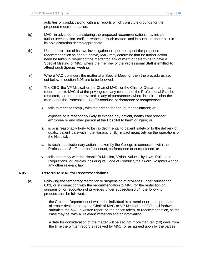activities or conduct along with any reports which constitute grounds for the proposed recommendation.

- (g) MAC, in advance of considering the proposed recommendation, may initiate further investigation itself, in respect of such matters and in such a manner as it in its sole discretion deems appropriate.
- (h) Upon completion of its own investigation or upon receipt of the proposed recommendation as set out above, MAC may determine that no further action need be taken in respect of the matter for lack of merit or determine to have a Special Meeting of MAC where the member of the Professional Staff is entitled to attend such Special Meeting.
- (i) Where MAC considers the matter at a Special Meeting, then the procedures set out below in section 6.05 are to be followed.
- (j) The CEO, the VP Medical or the Chair of MAC, or the Chief of Department, may recommend to MAC that the privileges of any member of the Professional Staff be restricted, suspended or revoked in any circumstances where in their opinion the member of the Professional Staff's conduct, performance or competence:
	- i. fails to meet or comply with the criteria for annual reappointment; or
	- ii. exposes or is reasonably likely to expose any patient, health care provider, employee or any other person at the Hospital to harm or injury; or
	- iii. is or is reasonably likely to be (a) detrimental to patient safety or to the delivery of quality patient care within the Hospital or (b) impact negatively on the operations of the Hospital;
	- iv. is such that disciplinary action is taken by the College in connection with the Professional Staff member's conduct, performance or competence; or
	- v. fails to comply with the Hospital's Mission, Vision, Values, by-laws, Rules and Regulations, or Policies including its Code of Conduct, the *Public Hospitals Act* or any other relevant law.

## <span id="page-23-0"></span>**6.05 Referral to MAC for Recommendations**

- (a) Following the temporary restriction or suspension of privileges under [subsection](#page-21-1)  [6.03,](#page-21-1) or in connection with the recommendation to MAC for the restriction or suspension or revocation of privileges under [subsection 6.04,](#page-22-0) the following process shall be followed:
	- i. the Chief of Department of which the individual is a member or an appropriate alternate designated by the Chair of MAC or VP Medical or CEO shall forthwith submit to the MAC a written report on the action taken, or recommendation, as the case may be, with all relevant materials and/or information;
	- ii. a date for consideration of the matter will be set, not more than ten (10) days from the time the written report is received by MAC, or as agreed upon by the parties;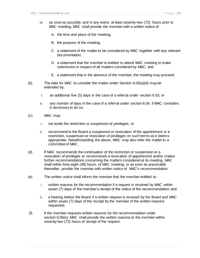- <span id="page-24-0"></span>iii. as soon as possible, and in any event, at least seventy-two (72) hours prior to MAC meeting, MAC shall provide the member with a written notice of:
	- A. the time and place of the meeting;
	- B. the purpose of the meeting;
	- C. a statement of the matter to be considered by MAC together with any relevant documentation;
	- D. a statement that the member is entitled to attend MAC meeting to make submission in respect of all matters considered by MAC; and
	- E. a statement that in the absence of the member, the meeting may proceed.
- (b) The date for MAC to consider the matter under Section [6.05\(a\)\(iii\)](#page-24-0) may be extended by:
	- i. an additional five (5) days in the case of a referral under [section 6.03;](#page-21-1) or
	- ii. any number of days in the case of a referral under [section 6.04,](#page-22-0) if MAC considers it necessary to do so.
- (c) MAC may:
	- i. set aside the restriction or suspension of privileges; or
	- ii. recommend to the Board a suspension or revocation of the appointment or a restriction, suspension or revocation of privileges on such terms as it deems appropriate. Notwithstanding the above, MAC may also refer the matter to a committee of MAC.
- (d) If MAC recommends the continuation of the restriction or suspension or a revocation of privileges or recommends a revocation of appointment and/or makes further recommendations concerning the matters considered at its meeting, MAC shall within forty-eight (48) hours, of MAC meeting, or as soon as practicable thereafter, provide the member with written notice of MAC's recommendation.
- <span id="page-24-1"></span>(e) The written notice shall inform the member that the member entitled to:
	- i. written reasons for the recommendation if a request is received by MAC within seven (7) days of the member's receipt of the notice of the recommendation; and
	- ii. a hearing before the Board if a written request is received by the Board and MAC within seven (7) days of the receipt by the member of the written reasons requested.
- (f) If the member requests written reasons for the recommendation under section [6.05\(e\),](#page-24-1) MAC shall provide the written reasons to the member within seventy-two (72) hours of receipt of the request.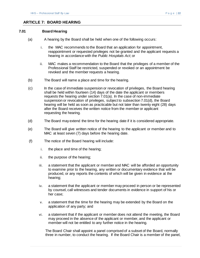## <span id="page-25-0"></span>**ARTICLE 7: BOARD HEARING**

### <span id="page-25-1"></span>**7.01 Board Hearing**

- (a) A hearing by the Board shall be held when one of the following occurs:
	- i. the MAC recommends to the Board that an application for appointment, reappointment or requested privileges not be granted and the applicant requests a hearing in accordance with the *Public Hospitals Act*; or
	- ii. MAC makes a recommendation to the Board that the privileges of a member of the Professional Staff be restricted, suspended or revoked or an appointment be revoked and the member requests a hearing.
- (b) The Board will name a place and time for the hearing.
- (c) In the case of immediate suspension or revocation of privileges, the Board hearing shall be held within fourteen (14) days of the date the applicant or members requests the hearing under [section](#page-25-1) 7.01(a). In the case of non-immediate suspension or revocation of privileges, subject to [subsection 7.01\(d\),](#page-25-2) the Board hearing will be held as soon as practicable but not later than twenty eight (28) days after the Board receives the written notice from the member or applicant requesting the hearing.
- <span id="page-25-2"></span>(d) The Board may extend the time for the hearing date if it is considered appropriate.
- (e) The Board will give written notice of the hearing to the applicant or member and to MAC at least seven (7) days before the hearing date.
- (f) The notice of the Board hearing will include:
	- i. the place and time of the hearing;
	- ii. the purpose of the hearing;
	- iii. a statement that the applicant or member and MAC will be afforded an opportunity to examine prior to the hearing, any written or documentary evidence that will be produced, or any reports the contents of which will be given in evidence at the hearing;
	- iv. a statement that the applicant or member may proceed in person or be represented by counsel, call witnesses and tender documents in evidence in support of his or her case;
	- v. a statement that the time for the hearing may be extended by the Board on the application of any party; and
	- vi. a statement that if the applicant or member does not attend the meeting, the Board may proceed in the absence of the applicant or member, and the applicant or member will not be entitled to any further notice in the hearing.

The Board Chair shall appoint a panel comprised of a subset of the Board, normally three in number, to conduct the hearing. If the Board Chair is a member of the panel,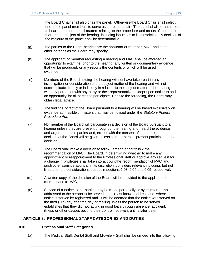the Board Chair shall also chair the panel. Otherwise the Board Chair shall select one of the panel members to serve as the panel chair. The panel shall be authorized to hear and determine all matters relating to the procedure and merits of the issues that are the subject of the hearing, including issues as to its jurisdiction. A decision of the majority of the panel shall be determinative;

- (g) The parties to the Board hearing are the applicant or member, MAC and such other persons as the Board may specify.
- (h) The applicant or member requesting a hearing and MAC shall be afforded an opportunity to examine, prior to the hearing, any written or documentary evidence that will be produced, or any reports the contents of which will be used in evidence.
- (i) Members of the Board holding the hearing will not have taken part in any investigation or consideration of the subject matter of the hearing and will not communicate directly or indirectly in relation to the subject matter of the hearing with any person or with any party or their representative, except upon notice to and an opportunity for all parties to participate. Despite the foregoing, the Board may obtain legal advice.
- (j) The findings of fact of the Board pursuant to a hearing will be based exclusively on evidence admissible or matters that may be noticed under the *Statutory Powers Procedure Act*.
- (k) No member of the Board will participate in a decision of the Board pursuant to a hearing unless they are present throughout the hearing and heard the evidence and argument of the parties and, except with the consent of the parties, no decision of the Board will be given unless all members so present participate in the decision.
- (l) The Board shall make a decision to follow, amend or not follow the recommendation of MAC. The Board, in determining whether to make any appointment or reappointment to the Professional Staff or approve any request for a change in privileges shall take into account the recommendation of MAC and such other considerations it, in its discretion, considers relevant including, but not limited to, the considerations set out in section[s 6.03,](#page-21-1) [6.04](#page-22-0) an[d 6.05](#page-23-0) respectively.
- (m) A written copy of the decision of the Board will be provided to the applicant or member and to MAC.
- (n) Service of a notice to the parties may be made personally or by registered mail addressed to the person to be served at their last known address and, where notice is served by registered mail, it will be deemed that the notice was served on the third (3rd) day after the day of mailing unless the person to be served establishes that they did not, acting in good faith, through absence, accident, illness or other causes beyond their control, receive it until a later date.

# <span id="page-26-0"></span>**ARTICLE 8: PROFESSIONAL STAFF CATEGORIES AND DUTIES**

#### <span id="page-26-1"></span>**8.01 Professional Staff Categories**

(a) The Medical Staff, Dental Staff and Midwifery Staff shall be divided into the following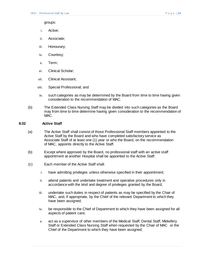groups:

- i. Active;
- ii. Associate;
- iii. Honourary;
- iv. Courtesy;
- v. Term;
- vi. Clinical Scholar;
- vii. Clinical Assistant;
- viii. Special Professional; and
- ix. such categories as may be determined by the Board from time to time having given consideration to the recommendation of MAC.
- (b) The Extended Class Nursing Staff may be divided into such categories as the Board may from time to time determine having given consideration to the recommendation of  $MAC.$

### <span id="page-27-0"></span>**8.02 Active Staff**

- (a) The Active Staff shall consist of those Professional Staff members appointed to the Active Staff by the Board and who have completed satisfactory service as Associate Staff of at least one (1) year or who the Board, on the recommendation of MAC, appoints directly to the Active Staff.
- (b) Except where approved by the Board, no professional staff with an active staff appointment at another Hospital shall be appointed to the Active Staff.
- (c) Each member of the Active Staff shall:
	- i. have admitting privileges unless otherwise specified in their appointment;
	- ii. attend patients and undertake treatment and operative procedures only in accordance with the kind and degree of privileges granted by the Board;
	- iii. undertake such duties in respect of patients as may be specified by the Chair of MAC, and, if appropriate, by the Chief of the relevant Department to which they have been assigned;
	- iv. be responsible to the Chief of Department to which they have been assigned for all aspects of patient care;
	- v. act as a supervisor of other members of the Medical Staff, Dental Staff, Midwifery Staff or Extended Class Nursing Staff when requested by the Chair of MAC or the Chief of the Department to which they have been assigned;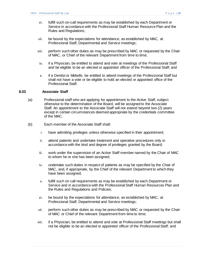- vi. fulfill such on-call requirements as may be established by each Department or Service in accordance with the Professional Staff Human Resource Plan and the Rules and Regulations;
- vii. be bound by the expectations for attendance, as established by MAC, at Professional Staff, Departmental and Service meetings;
- viii. perform such other duties as may be prescribed by MAC or requested by the Chair of MAC, or Chief of the relevant Department from time to time;
- ix. if a Physician, be entitled to attend and vote at meetings of the Professional Staff and be eligible to be an elected or appointed officer of the Professional Staff; and
- x. if a Dentist or Midwife, be entitled to attend meetings of the Professional Staff but shall not have a vote or be eligible to hold an elected or appointed office of the Professional Staff.

# <span id="page-28-0"></span>**8.03 Associate Staff**

- (a) Professional staff who are applying for appointment to the Active Staff, subject otherwise to the determination of the Board, will be assigned to the Associate Staff. An appointment to the Associate Staff will not extend beyond two (2) years except in certain circumstances deemed appropriate by the credentials committee of the MAC.
- (b) Each member of the Associate Staff shall:
	- i. have admitting privileges unless otherwise specified in their appointment;
	- ii. attend patients and undertake treatment and operative procedures only in accordance with the kind and degree of privileges granted by the Board;
	- iii. work under the supervision of an Active Staff member named by the Chair of MAC to whom he or she has been assigned;
	- iv. undertake such duties in respect of patients as may be specified by the Chair of MAC, and, if appropriate, by the Chief of the relevant Department to which they have been assigned;
	- v. fulfill such on call requirements as may be established by each Department or Service and in accordance with the Professional Staff Human Resources Plan and the Rules and Regulations and Policies;
	- vi. be bound by the expectations for attendance, as established by MAC, at Professional Staff, Departmental and Service meetings;
	- vii. perform such other duties as may be prescribed by MAC or requested by the Chair of MAC or Chief of the relevant Department from time to time;
	- viii. if a Physician, be entitled to attend and vote at Professional Staff meetings but shall not be eligible to be an elected or appointed officer of the Professional Staff; and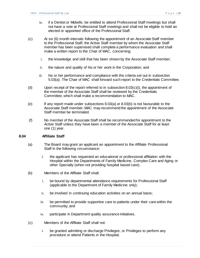- ix. if a Dentist or Midwife, be entitled to attend Professional Staff meetings but shall not have a vote at Professional Staff meetings and shall not be eligible to hold an elected or appointed office of the Professional Staff.
- (c) At six (6) month intervals following the appointment of an Associate Staff member to the Professional Staff, the Active Staff member by whom the Associate Staff member has been supervised shall complete a performance evaluation and shall make a written report to the Chair of MAC, concerning:
	- i. the knowledge and skill that has been shown by the Associate Staff member;
	- ii. the nature and quality of his or her work in the Corporation; and
	- iii. his or her performance and compliance with the criteria set out in subsection 5.03(a). The Chair of MAC shall forward such report to the Credentials Committee.
- (d) Upon receipt of the report referred to in subsection  $8.03(c)(i)$ , the appointment of the member of the Associate Staff shall be reviewed by the Credentials Committee, which shall make a recommendation to MAC.
- (e) If any report made under subsections 8.03(a) or 8.03(b) is not favourable to the Associate Staff member, MAC may recommend the appointment of the Associate Staff member be terminated.
- (f) No member of the Associate Staff shall be recommended for appointment to the Active Staff unless they have been a member of the Associate Staff for at least one (1) year.

# <span id="page-29-0"></span>**8.04 Affiliate Staff**

- (a) The Board may grant an applicant an appointment to the Affiliate Professional Staff in the following circumstance:
	- i. the applicant has requested an educational or professional affiliation with the Hospital within the Departments of Family Medicine, Complex Care and Aging or other Specialty (when not providing hospital based care).
- (b) Members of the Affiliate Staff shall:
	- i. be bound by departmental attendance requirements for Professional Staff (applicable to the Department of Family Medicine only);
	- ii. be involved in continuing education activities on an annual basis;
	- iii. be permitted to provide supportive care to patients under their care within the community; and
	- iv. participate in Department quality assurance initiatives.
- (c) Members of the Affiliate Staff shall not:
	- i. be granted admitting or discharge Privileges, or Privileges to perform any procedure or attend Patients in the Hospital;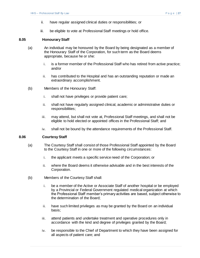- ii. have regular assigned clinical duties or responsibilities; or
- iii. be eligible to vote at Professional Staff meetings or hold office.

### <span id="page-30-0"></span>**8.05 Honourary Staff**

- (a) An individual may be honoured by the Board by being designated as a member of the Honourary Staff of the Corporation, for such term as the Board deems appropriate, because he or she:
	- i. is a former member of the Professional Staff who has retired from active practice; and/or
	- ii. has contributed to the Hospital and has an outstanding reputation or made an extraordinary accomplishment.
- (b) Members of the Honourary Staff:
	- i. shall not have privileges or provide patient care;
	- ii. shall not have regularly assigned clinical, academic or administrative duties or responsibilities;
	- iii. may attend, but shall not vote at, Professional Staff meetings, and shall not be eligible to hold elected or appointed offices in the Professional Staff; and
	- iv. shall not be bound by the attendance requirements of the Professional Staff.

#### <span id="page-30-1"></span>**8.06 Courtesy Staff**

- (a) The Courtesy Staff shall consist of those Professional Staff appointed by the Board to the Courtesy Staff in one or more of the following circumstances:
	- i. the applicant meets a specific service need of the Corporation; or
	- ii. where the Board deems it otherwise advisable and in the best interests of the Corporation.
- (b) Members of the Courtesy Staff shall:
	- i. be a member of the Active or Associate Staff of another hospital or be employed by a Provincial or Federal Government regulated medical organization at which the Professional Staff member's primary activities are based, subject otherwise to the determination of the Board;
	- ii. have such limited privileges as may be granted by the Board on an individual basis;
	- iii. attend patients and undertake treatment and operative procedures only in accordance with the kind and degree of privileges granted by the Board;
	- iv. be responsible to the Chief of Department to which they have been assigned for all aspects of patient care; and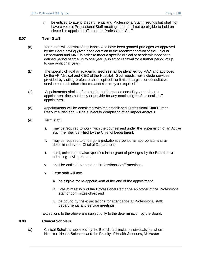v. be entitled to attend Departmental and Professional Staff meetings but shall not have a vote at Professional Staff meetings and shall not be eligible to hold an elected or appointed office of the Professional Staff.

## <span id="page-31-0"></span>**8.07 TermStaff**

- (a) Term staff will consist of applicants who have been granted privileges as approved by the Board having given consideration to the recommendation of the Chief of Department and MAC in order to meet a specific clinical or academic need for a defined period of time up to one year (subject to renewal for a further period of up to one additional year).
- (b) The specific clinical or academic need(s) shall be identified by MAC and approved by the VP Medical and CEO of the Hospital. Such needs may include services provided by visiting professorships, episodic or limited surgical or consultative services or such other circumstances as may be required.
- (c) Appointments shall be for a period not to exceed one (1) year and such appointment does not imply or provide for any continuing professional staff appointment.
- (d) Appointments will be consistent with the established Professional Staff Human Resource Plan and will be subject to completion of an Impact Analysis
- (e) Term staff:
	- i. may be required to work with the counsel and under the supervision of an Active staff member identified by the Chief of Department;
	- ii. may be required to undergo a probationary period as appropriate and as determined by the Chief of Department;
	- iii. shall, unless otherwise specified in the grant of privileges by the Board, have admitting privileges; and
	- iv. shall be entitled to attend at Professional Staff meetings.
	- v. Term staff will not:
		- A. be eligible for re-appointment at the end of the appointment;
		- B. vote at meetings of the Professional staff or be an officer of the Professional staff or committee chair; and
		- C. be bound by the expectations for attendance at Professional staff, departmental and service meetings.

Exceptions to the above are subject only to the determination by the Board.

#### <span id="page-31-1"></span>**8.08 Clinical Scholars**

(a) Clinical Scholars appointed by the Board shall include individuals for whom Hamilton Health Sciences and the Faculty of Health Sciences, McMaster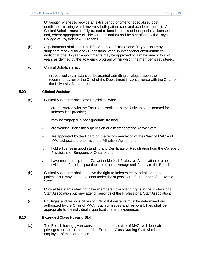University, wishes to provide an extra period of time for specialized postcertification training which involves both patient care and academic pursuit. A Clinical Scholar must be fully trained to function in his or her specialty (licensed and, where appropriate eligible for certification) and be a certified by the Royal College of Physicians & Surgeons.

- (b) Appointments shall be for a defined period of time of one (1) year and may be subject to renewal for one (1) additional year. In exceptional circumstances additional one (1) year appointments may be approved to a maximum of four (4) years as defined by the academic program within which the member is registered.
- (c) Clinical Scholars shall:
	- i. in specified circumstances, be granted admitting privileges upon the recommendation of the Chief of the Department in concurrence with the Chair of the University Department.

## <span id="page-32-0"></span>**8.09 Clinical Assistants**

- (a) Clinical Assistants are those Physicians who:
	- i. are registered with the Faculty of Medicine at the University or licensed for independent practice;
	- ii. may be engaged in post-graduate training;
	- iii. are working under the supervision of a member of the Active Staff;
	- iv. are appointed by the Board on the recommendation of the Chair of MAC and MAC subject to the terms of the Affiliation Agreement;
	- v. hold a license in good standing and Certificate of Registration from the College of Physicians of Surgeons of Ontario; and
	- vi. have membership in the Canadian Medical Protective Association or other evidence of medical practice protection coverage satisfactory to the Board.
- (b) Clinical Assistants shall not have the right to independently admit or attend patients, but may attend patients under the supervision of a member of the Active Staff;
- (c) Clinical Assistants shall not have membership or voting rights in the Professional Staff Association but may attend meetings of the Professional Staff Association;
- (d) Privileges and responsibilities for Clinical Assistants must be determined and authorized by the Chair of MAC. Such privileges and responsibilities shall be appropriate to the individual's qualifications and experience.

#### <span id="page-32-1"></span>**8.10 Extended Class Nursing Staff**

(a) The Board, having given consideration to the advice of MAC, will delineate the privileges for each member of the Extended Class Nursing Staff who is not an employee of the Corporation.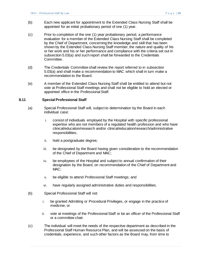- (b) Each new applicant for appointment to the Extended Class Nursing Staff shall be appointed for an initial probationary period of one (1) year.
- (c) Prior to completion of the one (1) year probationary period, a performance evaluation for a member of the Extended Class Nursing Staff shall be completed by the Chief of Department, concerning the knowledge and skill that has been shown by the Extended Class Nursing Staff member, the nature and quality of his or her work and his or her performance and compliance with the criteria set out in subsection 5.03(a) and such report shall be forwarded to the Credentials Committee.
- (d) The Credentials Committee shall review the report referred to in subsection 5.03(a) and shall make a recommendation to MAC which shall in turn make a recommendation to the Board.
- (e) A member of the Extended Class Nursing Staff shall be entitled to attend but not vote at Professional Staff meetings and shall not be eligible to hold an elected or appointed office in the Professional Staff.

#### <span id="page-33-0"></span>**8.11 Special Professional Staff**

- (a) Special Professional Staff will, subject to determination by the Board in each individual case:
	- i. consist of individuals employed by the Hospital with specific professional expertise who are not members of a regulated health profession and who have clinical/education/research and/or clinical/education/research/administrative responsibilities;
	- ii. hold a postgraduate degree;
	- iii. be designated by the Board having given consideration to the recommendation of the Chief of Department and MAC;
	- iv. be employees of the Hospital and subject to annual confirmation of their designation by the Board, on recommendation of the Chief of Department and MAC:
	- v. be eligible to attend Professional Staff meetings; and
	- vi. have regularly assigned administrative duties and responsibilities.
- (b) Special Professional Staff will not:
	- i. be granted Admitting or Procedural Privileges, or engage in the practice of medicine; or
	- ii. vote at meetings of the Professional Staff or be an officer of the Professional Staff or a committee chair.
- (c) The individual will meet the needs of the respective department as described in the Professional Staff Human Resource Plan, and will be assessed on the basis of credentials, experience, and such other factors as the Board may, from time to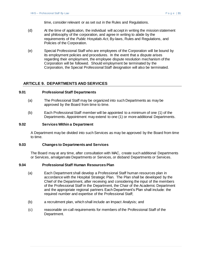time, consider relevant or as set out in the Rules and Regulations.

- (d) At the time of application, the individual will accept in writing the mission statement and philosophy of the corporation, and agree in writing to abide by the requirements of the *Public Hospitals Act*, By-laws, Rules and Regulations, and Policies of the Corporation.
- (e) Special Professional Staff who are employees of the Corporation will be bound by its employment policies and procedures. In the event that a dispute arises regarding their employment, the employee dispute resolution mechanism of the Corporation will be followed. Should employment be terminated by the Corporation, the Special Professional Staff designation will also be terminated.

## <span id="page-34-0"></span>**ARTICLE 9. DEPARTMENTS AND SERVICES**

### <span id="page-34-1"></span>**9.01 Professional Staff Departments**

- (a) The Professional Staff may be organized into such Departments as may be approved by the Board from time to time.
- (b) Each Professional Staff member will be appointed to a minimum of one (1) of the Departments. Appointment may extend to one (1) or more additional Departments.

#### <span id="page-34-2"></span>**9.02 Services Within a Department**

A Department may be divided into such Services as may be approved by the Board from time to time.

### <span id="page-34-3"></span>**9.03 Changes to Departments and Services**

The Board may at any time, after consultation with MAC, create such additional Departments or Services, amalgamate Departments or Services, or disband Departments or Services.

### <span id="page-34-4"></span>**9.04 Professional Staff Human Resources Plan**

- (a) Each Department shall develop a Professional Staff human resources plan in accordance with the Hospital Strategic Plan. The Plan shall be developed by the Chief of the Department, after receiving and considering the input of the members of the Professional Staff in the Department, the Chair of the Academic Department and the appropriate regional partners Each Department's Plan shall include: the required number and expertise of the Professional Staff;
- (b) a recruitment plan, which shall include an Impact Analysis; and
- (c) reasonable on-call requirements for members of the Professional Staff of the Department.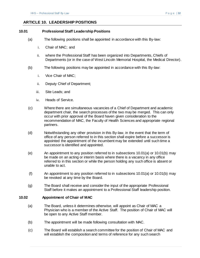# <span id="page-35-0"></span>**ARTICLE 10. LEADERSHIP POSITIONS**

### <span id="page-35-1"></span>**10.01 Professional Staff Leadership Positions**

- (a) The following positions shall be appointed in accordance with this By-law:
	- i. Chair of MAC; and
	- ii. where the Professional Staff has been organized into Departments, Chiefs of Departments (or in the case of West Lincoln Memorial Hospital, the Medical Director).
- (b) The following positions may be appointed in accordance with this By-law:
	- i. Vice Chair of MAC;
	- ii. Deputy Chief of Department;
	- iii. Site Leads; and
	- iv. Heads of Service.
- (c) Where there are simultaneous vacancies of a Chief of Department and academic department chair, the search processes of the two may be merged. This can only occur with prior approval of the Board haven given consideration to the recommendation of MAC, the Faculty of Health Sciences and appropriate regional partners.
- (d) Notwithstanding any other provision in this By-law, in the event that the term of office of any person referred to in this section shall expire before a successor is appointed the appointment of the incumbent may be extended until such time a successor is identified and appointed.
- (e) An appointment to any position referred to in subsections 10.01(a) or 10.01(b) may be made on an acting or interim basis where there is a vacancy in any office referred to in this section or while the person holding any such office is absent or unable to act.
- (f) An appointment to any position referred to in subsections 10.01(a) or 10.01(b) may be revoked at any time by the Board.
- (g) The Board shall receive and consider the input of the appropriate Professional Staff before it makes an appointment to a Professional Staff leadership position.

### <span id="page-35-2"></span>**10.02 Appointment of Chair of MAC**

- (a) The Board, unless it determines otherwise, will appoint as Chair of MAC a Physician who is a member of the Active Staff. The position of Chair of MAC will be open to any Active Staff member.
- (b) The appointment will be made following consultation with MAC.
- (c) The Board will establish a search committee for the position of Chair of MAC and will establish the composition and terms of reference for any such search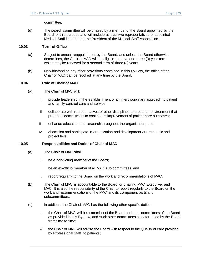committee.

(d) The search committee will be chaired by a member of the Board appointed by the Board for this purpose and will include at least two representatives of appointed Medical Staff leaders and the President of the Medical Staff Association.

#### <span id="page-36-0"></span>**10.03 Term of Office**

- (a) Subject to annual reappointment by the Board, and unless the Board otherwise determines, the Chair of MAC will be eligible to serve one three (3) year term which may be renewed for a second term of three (3) years.
- (b) Notwithstanding any other provisions contained in this By-Law, the office of the Chair of MAC can be revoked at any time by the Board.

### <span id="page-36-1"></span>**10.04 Role of Chair of MAC**

- (a) The Chair of MAC will:
	- i. provide leadership in the establishment of an interdisciplinary approach to patient and family-centred care and service;
	- ii. collaborate with representatives of other disciplines to create an environment that promotes commitment to continuous improvement of patient care outcomes;
	- iii. enhance education and research throughout the organization; and
	- iv. champion and participate in organization and development at a strategic and project level.

#### <span id="page-36-2"></span>**10.05 Responsibilities and Duties of Chair of MAC**

- (a) The Chair of MAC shall:
	- i. be a non-voting member of the Board;

be an ex-officio member of all MAC sub-committees; and

- ii. report regularly to the Board on the work and recommendations of MAC.
- (b) The Chair of MAC is accountable to the Board for chairing MAC Executive, and MAC. It is also the responsibility of the Chair to report regularly to the Board on the work and recommendations of the MAC and its component parts and subcommittees;
- (c) In addition, the Chair of MAC has the following other specific duties:
	- i. the Chair of MAC will be a member of the Board and such committees of the Board as provided in this By-Law, and such other committees as determined by the Board from time to time;
	- ii. the Chair of MAC will advise the Board with respect to the Quality of care provided by Professional Staff to patients;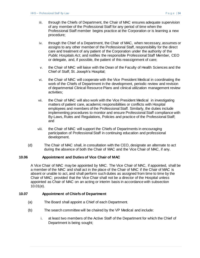- iii. through the Chiefs of Department, the Chair of MAC ensures adequate supervision of any member of the Professional Staff for any period of time when the Professional Staff member begins practice at the Corporation or is learning a new procedure;
- iv. through the Chief of a Department, the Chair of MAC, when necessary, assumes or assigns to any other member of the Professional Staff, responsibility for the direct care and treatment of any patient of the Corporation under the authority of the *Public Hospitals Act*, and notifies the responsible Professional Staff Member, CEO or delegate, and, if possible, the patient of this reassignment of care;
- v. the Chair of MAC will liaise with the Dean of the Faculty of Health Sciences and the Chief of Staff, St. Joseph's Hospital;
- vi. the Chair of MAC will cooperate with the Vice President Medical in coordinating the work of the Chiefs of Department in the development, periodic review and revision of departmental Clinical Resource Plans and clinical utilization management review activities;
- vii. the Chair of MAC will also work with the Vice President Medical in investigating matters of patient care, academic responsibilities or conflicts with Hospital employees and members of the Professional Staff. Similarly, the duties include implementing procedures to monitor and ensure Professional Staff compliance with By-Laws, Rules and Regulations, Policies and practice of the Professional Staff; and
- viii. the Chair of MAC will support the Chiefs of Departments in encouraging participation of Professional Staff in continuing education and professional development.
- (d) The Chair of MAC shall, in consultation with the CEO, designate an alternate to act during the absence of both the Chair of MAC and the Vice Chair of MAC, if any.

## <span id="page-37-0"></span>**10.06 Appointment and Duties of Vice Chair of MAC**

A Vice Chair of MAC may be appointed by MAC. The Vice Chair of MAC, if appointed, shall be a member of the MAC and shall act in the place of the Chair of MAC if the Chair of MAC is absent or unable to act, and shall perform such duties as assigned from time to time by the Chair of MAC; provided that the Vice Chair shall not be a director of the Hospital unless appointed as Chair of MAC on an acting or interim basis in accordance with subsection 10.01(e).

## <span id="page-37-1"></span>**10.07 Appointment of Chiefs of Department**

- (a) The Board shall appoint a Chief of each Department.
- (b) The search committee will be chaired by the VP Medical and include:
	- i. at least two members of the Active Staff of the Department for which the Chief of Department is being sought;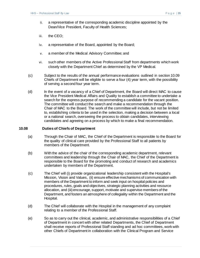- ii. a representative of the corresponding academic discipline appointed by the Dean/Vice President, Faculty of Health Sciences;
- iii. the CEO;
- iv. a representative of the Board, appointed by the Board;
- v. a member of the Medical Advisory Committee; and
- vi. such other members of the Active Professional Staff from departments which work closely with the Department Chief as determined by the VP Medical.
- (c) Subject to the results of the annual performance evaluations outlined in section 10.09 Chiefs of Department will be eligible to serve a four (4) year term, with the possibility of serving a second four year term.
- (d) In the event of a vacancy of a Chief of Department, the Board will direct MAC to cause the Vice President Medical Affairs and Quality to establish a committee to undertake a search for the express purpose of recommending a candidate for the vacant position. The committee will conduct the search and make a recommendation through the Chair of MAC to the Board. The work of the committee will include, but not be limited to, establishing criteria to be used in the selection, making a decision between a local or a national search, overseeing the process to obtain candidates, interviewing candidates and agreeing on a process by which to make a final recommendation.

### <span id="page-38-0"></span>**10.08 Duties of Chiefs of Department**

- (a) Through the Chair of MAC, the Chief of the Department is responsible to the Board for the quality of clinical care provided by the Professional Staff to all patients by members of the Department.
- (b) With the advice of the chair of the corresponding academic department, relevant committees and leadership through the Chair of MAC, the Chief of the Department is responsible to the Board for the promoting and conduct of research and academics undertaken by members of the Department.
- (c) The Chief will (i) provide organizational leadership consistent with the Hospital's Mission, Vision and Values, (ii) ensure effective mechanisms of communication with members of the Department to inform and seek input on hospital policies and procedures, rules, goals and objectives, strategic planning activities and resource allocation, and (iii) encourage, support, motivate and supervise members of the Department, and fosters an atmosphere of collegiality within the Department and the Hospital.
- (d) The Chief will collaborate with the Hospital in the management of any complaint relating to a member of the Professional Staff.
- (e) So as to carry out the clinical, academic, and administrative responsibilities of a Chief of Department in concert with other related Departments, the Chief of Department shall receive reports of Professional Staff standing and ad hoc committees, work with other Chiefs of Department in collaboration with the Clinical Program and Service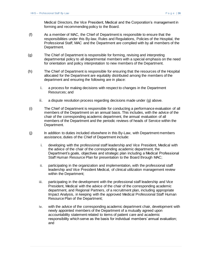Medical Directors, the Vice President, Medical and the Corporation's management in forming and recommending policy to the Board.

- (f) As a member of MAC, the Chief of Department is responsible to ensure that the responsibilities under this By-law, Rules and Regulations, Policies of the Hospital, the Professional Staff, MAC and the Department are complied with by all members of the Department.
- (g) The Chief of Department is responsible for forming, revising and interpreting departmental policy to all departmental members with a special emphasis on the need for orientation and policy interpretation to new members of the Department.
- (h) The Chief of Department is responsible for ensuring that the resources of the Hospital allocated for the Department are equitably distributed among the members of the department and ensuring the following are in place:
	- i. a process for making decisions with respect to changes in the Department Resources; and
	- ii. a dispute resolution process regarding decisions made under (g) above.
- (i) The Chief of Department is responsible for conducting a performance evaluation of all members of the Department on an annual basis. This includes, with the advice of the chair of the corresponding academic department, the annual evaluation of all members of the Department and the periodic reviews of heads of Service within the Department.
- (j) In addition to duties included elsewhere in this By-Law, with Department members assistance, duties of the Chief of Department include:
	- i. developing with the professional staff leadership and Vice President, Medical with the advice of the chair of the corresponding academic department, the Department's goals, objectives and strategic plan including a Medical Professional Staff Human Resource Plan for presentation to the Board through MAC;
	- ii. participating in the organization and implementation, with the professional staff leadership and Vice President Medical, of clinical utilization management review within the Department;
	- iii. participating in the development with the professional staff leadership and Vice President, Medical with the advice of the chair of the corresponding academic department, and Regional Partners, of a recruitment plan, including appropriate Impact Analysis, in keeping with the approved Medical Professional Staff Human Resource Plan of the Department;
	- iv. with the advice of the corresponding academic department chair, development with newly appointed members of the Department of a mutually agreed upon accountability statement related to items of patient care and academic responsibility which serve as the basis for individual members' annual evaluation; and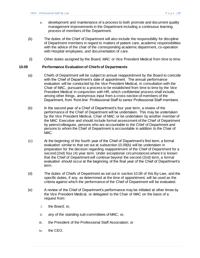- v. development and maintenance of a process to both promote and document quality management improvements in the Department including a continuous learning process of members of the Department.
- (k) The duties of the Chief of Department will also include the responsibility for discipline of Department members in regard to matters of patient care, academic responsibilities with the advice of the chair of the corresponding academic department, co-operation with Hospital employees, and documentation of care.
- (l) Other duties assigned by the Board, MAC or Vice President Medical from time to time.

### <span id="page-40-0"></span>**10.09 Performance Evaluation of Chiefs of Departments**

- (a) Chiefs of Department will be subject to annual reappointment by the Board to coincide with the Chief of Department's date of appointment. The annual performance evaluation will be conducted by the Vice President Medical, in consultation with the Chair of MAC, pursuant to a process to be established from time to time by the Vice President Medical in conjunction with HR, which confidential process shall include, among other things, anonymous input from a cross-section of members of the Department, from 'front-line' Professional Staff to senior Professional Staff members.
- <span id="page-40-1"></span>(b) In the second year of a Chief of Department's four year term, a review of the performance of the Chief of Department will be undertaken. This may be undertaken by the Vice President Medical, Chair of MAC or be undertaken by another member of the MAC Executive and should include formal assessment of the Chief of Department by peers/colleagues, persons who are accountable to the Chief of Department and persons to whom the Chief of Department is accountable in addition to the Chair of MAC.
- (c) At the beginning of the fourth year of the Chief of Department's first term, a formal evaluation similar to that set out at [subsection 10.09\(b\)](#page-40-1) will be undertaken in preparation for the decision regarding reappointment of the Chief of Department for a second (2nd) four (4) year term. Under exceptional circumstances where it is known that the Chief of Department will continue beyond the second (2nd) term, a formal evaluation should occur at the beginning of the final year of the Chief of Department's term.
- (d) The duties of Chiefs of Department as set out in section 10.08 of this By-Law, and the specific duties, if any, as determined at the time of appointment, will be used as the criteria against which the performance of the Chief of Department will be evaluated.
- (e) A review of the Chief of Department's performance may be initiated at other times by the Vice President Medical, or delegated to the Chair of MAC on the basis of a request from:
	- i. the Board; or,
	- ii. any of the standing sub-committees of MAC; or,
	- iii. the President of the Professional Staff Association; or
	- iv. the CEO.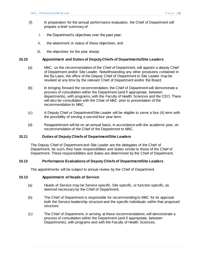- (f) In preparation for the annual performance evaluation, the Chief of Department will prepare a brief summary of:
	- i. the Department's objectives over the past year;
	- ii. the attainment or status of these objectives; and
	- iii. the objectives for the year ahead.

### <span id="page-41-0"></span>**10.10 Appointment and Duties of Deputy Chiefs of Departments/Site Leaders**

- (a) MAC, on the recommendation of the Chief of Department, will appoint a deputy Chief of Department and/or Site Leader. Notwithstanding any other provisions contained in the By-Laws, the office of the Deputy Chief of Department or Site Leader may be revoked at any time by the relevant Chief of Department and/or the Board.
- (b) In bringing forward the recommendation, the Chief of Department will demonstrate a process of consultation within the Department (and if appropriate, between departments), with programs, with the Faculty of Health Sciences and the CEO. There will also be consultation with the Chair of MAC prior to presentation of the recommendation to MAC.
- (c) A Deputy Chief or Department/Site Leader will be eligible to serve a four (4) term with the possibility of serving a second four year term.
- (d) Reappointment will be on an annual basis, in accordance with the academic year, on recommendation of the Chief of the Department to MAC.

### <span id="page-41-1"></span>**10.11 Duties of Deputy Chiefs of Department/Site Leaders**

The Deputy Chief of Department and Site Leader are the delegates of the Chief of Department. As such, they have responsibilities and duties similar to those of the Chief of Department. These responsibilities and duties are determined by the Chief of Department.

### <span id="page-41-2"></span>**10.12 Performance Evaluations of Deputy Chiefs of Department/Site Leaders**

The appointments will be subject to annual review by the Chief of Department.

### <span id="page-41-3"></span>**10.13 Appointment of Heads of Service**

- (a) Heads of Service may be Service specific, Site specific, or function specific, as deemed necessary by the Chief of Department.
- (b) The Chief of Department is responsible for recommending to MAC for its approval both the Service leadership structure and the specific individuals within that proposed structure.
- (c) The Chief of Department, in arriving at these recommendations, will demonstrate a process of consultation within the Department (and if appropriate, between Departments), with programs and with the Faculty of Health Sciences.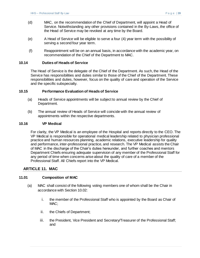- (d) MAC, on the recommendation of the Chief of Department, will appoint a Head of Service. Notwithstanding any other provisions contained in the By-Laws, the office of the Head of Service may be revoked at any time by the Board.
- (e) A Head of Service will be eligible to serve a four (4) year term with the possibility of serving a second four year term.
- (f) Reappointment will be on an annual basis, in accordance with the academic year, on recommendation of the Chief of the Department to MAC.

### <span id="page-42-0"></span>**10.14 Duties of Heads of Service**

The Head of Service is the delegate of the Chief of the Department. As such, the Head of the Service has responsibilities and duties similar to those of the Chief of the Department. These responsibilities and duties, however, focus on the quality of care and operation of the Service and the specific subspecialty.

### <span id="page-42-1"></span>**10.15 Performance Evaluation of Heads of Service**

- (a) Heads of Service appointments will be subject to annual review by the Chief of Department.
- (b) The annual review of Heads of Service will coincide with the annual review of appointments within the respective departments.

### <span id="page-42-2"></span>**10.16 VP Medical**

For clarity, the VP Medical is an employee of the Hospital and reports directly to the CEO. The VP Medical is responsible for operational medical leadership related to physician professional practice and human resources planning, academic relations, executive leadership for quality and performance, inter-professional practice, and research. The VP Medical assists the Chair of MAC in the discharge of the Chair's duties hereunder, and further coaches and mentors Department Chiefs ensuring adequate supervision of any member of the Professional Staff for any period of time when concerns arise about the quality of care of a member of the Professional Staff. All Chiefs report into the VP Medical.

## <span id="page-42-3"></span>**ARTICLE 11. MAC**

## <span id="page-42-4"></span>**11.01 Composition of MAC**

- (a) MAC shall consist of the following voting members one of whom shall be the Chair in accordance with Section 10.02:
	- i. the member of the Professional Staff who is appointed by the Board as Chair of MAC:
	- ii. the Chiefs of Department;
	- iii. the President, Vice President and Secretary/Treasurer of the Professional Staff; and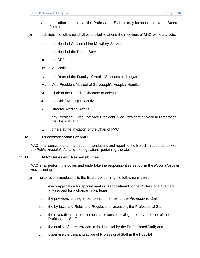- iv. such other members of the Professional Staff as may be appointed by the Board from time to time.
- (b) In addition, the following shall be entitled to attend the meetings of MAC without a vote:
	- i. the Head of Service of the Midwifery Service;
	- ii. the Head of the Dental Service;
	- iii. the CEO;
	- iv. VP Medical;
	- v. the Dean of the Faculty of Health Sciences or delegate;
	- vi. Vice President Medical of St. Joseph's Hospital Hamilton;
	- vii. Chair of the Board of Directors or delegate;
	- viii. the Chief Nursing Executive;
	- ix. Director, Medical Affairs;
	- x. any President, Executive Vice President, Vice President or Medical Director of the Hospital; and
	- xi. others at the invitation of the Chair of MAC.

#### <span id="page-43-0"></span>**11.02 Recommendations of MAC**

MAC shall consider and make recommendations and report to the Board, in accordance with the *Public Hospitals Act* and the regulations pertaining thereto.

#### <span id="page-43-1"></span>**11.03 MAC Duties and Responsibilities**

MAC shall perform the duties and undertake the responsibilities set out in the *Public Hospitals Act*, including:

- (a) make recommendations to the Board concerning the following matters:
	- i. every application for appointment or reappointment to the Professional Staff and any request for a change in privileges;
	- ii. the privileges to be granted to each member of the Professional Staff;
	- iii. the by-laws and Rules and Regulations respecting the Professional Staff;
	- iv. the revocation, suspension or restrictions of privileges of any member of the Professional Staff; and
	- v. the quality of care provided in the Hospital by the Professional Staff; and
	- vi. supervise the clinical practice of Professional Staff in the Hospital;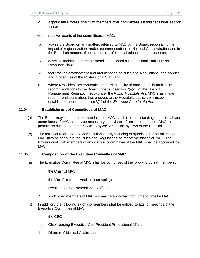- vii. appoint the Professional Staff members of all committees established under section 11.04;
- viii. receive reports of the committees of MAC;
- ix. advise the Board on any matters referred to MAC by the Board; recognizing the impact of regionalization, make recommendations to Hospital Administration and to the Board on matters of patient care, professional education and research;
- x. develop, maintain and recommend to the Board a Professional Staff Human Resource Plan;
- xi. facilitate the development and maintenance of Rules and Regulations, and policies and procedures of the Professional Staff; and
- xii. where MAC identifies systemic or recurring quality of care issues in making its recommendations to the Board under subsection 2(a)(v) of the Hospital Management Regulation (965) under the *Public Hospitals Act*, MAC shall make recommendations about those issues to the Hospital's quality committee established under subsection 3(1) of the *Excellent Care for All Act*.

### <span id="page-44-0"></span>**11.04 Establishment of Committees of MAC**

- (a) The Board may, on the recommendation of MAC establish such standing and special subcommittees of MAC as may be necessary or advisable from time to time for MAC to perform its duties under the *Public Hospitals Act* or the by-laws of the Hospital.
- (b) The terms of reference and composition for any standing or special sub-committees of MAC may be set out in the Rules and Regulations on recommendation of MAC. The Professional Staff members of any such subcommittee of the MAC shall be appointed by MAC.

#### <span id="page-44-1"></span>**11.05 Composition of the Executive Committee of MAC**

- (a) The Executive Committee of MAC shall be comprised of the following voting members:
	- i. the Chair of MAC;
	- ii. the Vice President, Medical (non-voting);
	- iii. President of the Professional Staff; and
	- iv. such other members of MAC as may be appointed from time to time by MAC.
- (b) In addition, the following ex officio members shall be entitled to attend meetings of the Executive Committee of MAC:
	- i. the CEO;
	- ii. Chief Nursing Executive/Vice President Professional Affairs;
	- iii. Director of Medical Affairs; and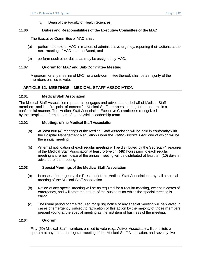iv. Dean of the Faculty of Health Sciences.

### <span id="page-45-0"></span>**11.06 Duties and Responsibilities of the Executive Committee of the MAC**

The Executive Committee of MAC shall:

- (a) perform the role of MAC in matters of administrative urgency, reporting their actions at the next meeting of MAC and the Board; and
- (b) perform such other duties as may be assigned by MAC.

### <span id="page-45-1"></span>**11.07 Quorum for MAC and Sub-Committee Meeting**

A quorum for any meeting of MAC, or a sub-committee thereof, shall be a majority of the members entitled to vote.

# <span id="page-45-2"></span>**ARTICLE 12. MEETINGS – MEDICAL STAFF ASSOCIATION**

#### <span id="page-45-3"></span>**12.01 Medical Staff Association**

The Medical Staff Association represents, engages and advocates on behalf of Medical Staff members, and is a first point of contact for Medical Staff members to bring forth concerns in a confidential manner. The Medical Staff Association Executive Committee is recognized by the Hospital as forming part of the physician leadership team.

#### <span id="page-45-4"></span>**12.02 Meetings of the Medical Staff Association**

- (a) At least four (4) meetings of the Medical Staff Association will be held in conformity with the Hospital Management Regulation under the *Public Hospitals Act*, one of which will be the annual meeting.
- (b) An email notification of each regular meeting will be distributed by the Secretary/Treasurer of the Medical Staff Association at least forty-eight (48) hours prior to each regular meeting and email notice of the annual meeting will be distributed at least ten (10) days in advance of the meeting.

### <span id="page-45-5"></span>**12.03 Special Meetings of the Medical Staff Association**

- (a) In cases of emergency, the President of the Medical Staff Association may call a special meeting of the Medical Staff Association.
- (b) Notice of any special meeting will be as required for a regular meeting, except in cases of emergency, and will state the nature of the business for which the special meeting is called.
- (c) The usual period of time required for giving notice of any special meeting will be waived in cases of emergency, subject to ratification of this action by the majority of those members present voting at the special meeting as the first item of business of the meeting.

## <span id="page-45-6"></span>**12.04 Quorum**

Fifty (50) Medical Staff members entitled to vote (e.g., Active, Associate) will constitute a quorum at any annual or regular meeting of the Medical Staff Association, and seventy-five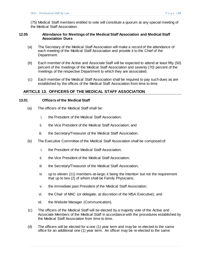(75) Medical Staff members entitled to vote will constitute a quorum at any special meeting of the Medical Staff Association.

### <span id="page-46-0"></span>**12.05 Attendance for Meetings of the Medical Staff Association and Medical Staff Association Dues**

- (a) The Secretary of the Medical Staff Association will make a record of the attendance of each meeting of the Medical Staff Association and provide it to the Chief of the Department.
- (b) Each member of the Active and Associate Staff will be expected to attend at least fifty (50) percent of the meetings of the Medical Staff Association and seventy (70) percent of the meetings of the respective Department to which they are associated.
- (c) Each member of the Medical Staff Association shall be required to pay such dues as are established by the offices of the Medical Staff Association from time to time.

## <span id="page-46-1"></span>**ARTICLE 13. OFFICERS OF THE MEDICAL STAFF ASSOCIATION**

#### <span id="page-46-2"></span>**13.01 Officers of the Medical Staff**

- (a) The officers of the Medical Staff shall be:
	- i. the President of the Medical Staff Association;
	- ii. the Vice President of the Medical Staff Association; and
	- iii. the Secretary/Treasurer of the Medical Staff Association.
- (b) The Executive Committee of the Medical Staff Association shall be composed of:
	- i. the President of the Medical Staff Association;
	- ii. the Vice President of the Medical Staff Association;
	- iii the Secretary/Treasurer of the Medical Staff Association;
	- iv up to eleven (11) members-at-large, it being the intention but not the requirement that up to two (2) of whom shall be Family Physicians;
	- v. the immediate past President of the Medical Staff Association;
	- vi. the Chair of MAC (or delegate, at discretion of the MSA Executive); and
	- vii. the Website Manager (Communication).
- (c) The officers of the Medical Staff will be elected by a majority vote of the Active and Associate Members of the Medical Staff in accordance with the procedures established by the Medical Staff Association from time to time.
- (d) The officers will be elected for a one (1) year term and may be re-elected to the same office for an additional one (1) year term. An officer may be re-elected to the same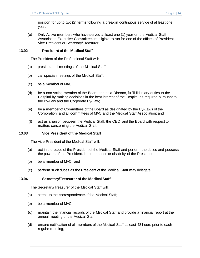(e) Only Active members who have served at least one (1) year on the Medical Staff Association Executive Committee are eligible to run for one of the offices of President, Vice President or Secretary/Treasurer.

# <span id="page-47-0"></span>**13.02 President of the Medical Staff**

The President of the Professional Staff will:

- (a) preside at all meetings of the Medical Staff;
- (b) call special meetings of the Medical Staff;
- (c) be a member of MAC;
- (d) be a non-voting member of the Board and as a Director, fulfill fiduciary duties to the Hospital by making decisions in the best interest of the Hospital as required pursuant to the By-Law and the Corporate By-Law;
- (e) be a member of Committees of the Board as designated by the By-Laws of the Corporation, and all committees of MAC and the Medical Staff Association; and
- (f) act as a liaison between the Medical Staff, the CEO, and the Board with respect to matters concerning the Medical Staff.

#### <span id="page-47-1"></span>**13.03 Vice President of the Medical Staff**

The Vice President of the Medical Staff will:

- (a) act in the place of the President of the Medical Staff and perform the duties and possess the powers of the President, in the absence or disability of the President;
- (b) be a member of MAC; and
- (c) perform such duties as the President of the Medical Staff may delegate.

#### <span id="page-47-2"></span>**13.04 Secretary/Treasurer of the Medical Staff**

The Secretary/Treasurer of the Medical Staff will:

- (a) attend to the correspondence of the Medical Staff;
- (b) be a member of MAC;
- (c) maintain the financial records of the Medical Staff and provide a financial report at the annual meeting of the Medical Staff;
- (d) ensure notification of all members of the Medical Staff at least 48 hours prior to each regular meeting;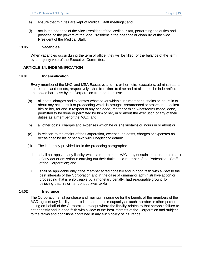- (e) ensure that minutes are kept of Medical Staff meetings; and
- (f) act in the absence of the Vice President of the Medical Staff, performing the duties and possessing the powers of the Vice President in the absence or disability of the Vice President of the Medical Staff.

#### <span id="page-48-0"></span>**13.05 Vacancies**

When vacancies occur during the term of office, they will be filled for the balance of the term by a majority vote of the Executive Committee.

### <span id="page-48-1"></span>**ARTICLE 14. INDEMNIFICATION**

#### <span id="page-48-2"></span>**14.01 Indemnification**

Every member of the MAC and MSA Executive and his or her heirs, executors, administrators and estates and effects, respectively, shall from time to time and at all times, be indemnified and saved harmless by the Corporation from and against:

- (a) all costs, charges and expenses whatsoever which such member sustains or incurs in or about any action, suit or proceeding which is brought, commenced or prosecuted against him or her, for and in respect of any act, deed, matter or thing whatsoever made, done, permitted to be done or permitted by him or her, in or about the execution of any of their duties as a member of the MAC; and
- (b) all other costs, charges and expenses which he or she sustains or incurs in or about or
- (c) in relation to the affairs of the Corporation, except such costs, charges or expenses as occasioned by his or her own willful neglect or default.
- (d) The indemnity provided for in the preceding paragraphs:
	- i. shall not apply to any liability which a member the MAC may sustain or incur as the result of any act or omission in carrying out their duties as a member of the Professional Staff of the Corporation; and
	- ii. shall be applicable only if the member acted honestly and in good faith with a view to the best interests of the Corporation and in the case of criminal or administrative action or proceeding that is enforceable by a monetary penalty, had reasonable ground for believing that his or her conduct was lawful.

#### <span id="page-48-3"></span>**14.02 Insurance**

The Corporation shall purchase and maintain insurance for the benefit of the members of the MAC against any liability incurred in that person's capacity as such member or other person acting on behalf of the Corporation, except where the liability relates to that person's failure to act honestly and in good faith with a view to the best interests of the Corporation and subject to the terms and conditions contained in any such policy of insurance.